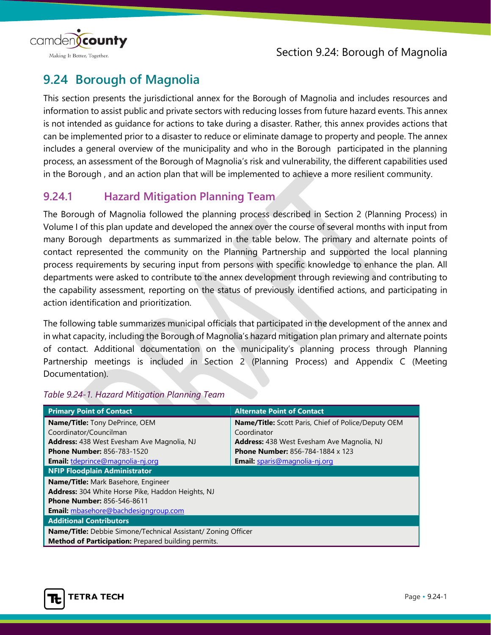

# **9.24 Borough of Magnolia**

This section presents the jurisdictional annex for the Borough of Magnolia and includes resources and information to assist public and private sectors with reducing losses from future hazard events. This annex is not intended as guidance for actions to take during a disaster. Rather, this annex provides actions that can be implemented prior to a disaster to reduce or eliminate damage to property and people. The annex includes a general overview of the municipality and who in the Borough participated in the planning process, an assessment of the Borough of Magnolia's risk and vulnerability, the different capabilities used in the Borough , and an action plan that will be implemented to achieve a more resilient community.

## **9.24.1 Hazard Mitigation Planning Team**

The Borough of Magnolia followed the planning process described in Section 2 (Planning Process) in Volume I of this plan update and developed the annex over the course of several months with input from many Borough departments as summarized in the table below. The primary and alternate points of contact represented the community on the Planning Partnership and supported the local planning process requirements by securing input from persons with specific knowledge to enhance the plan. All departments were asked to contribute to the annex development through reviewing and contributing to the capability assessment, reporting on the status of previously identified actions, and participating in action identification and prioritization.

The following table summarizes municipal officials that participated in the development of the annex and in what capacity, including the Borough of Magnolia's hazard mitigation plan primary and alternate points of contact. Additional documentation on the municipality's planning process through Planning Partnership meetings is included in Section 2 (Planning Process) and Appendix C (Meeting Documentation).

| <b>Primary Point of Contact</b>                                      | <b>Alternate Point of Contact</b>                          |  |  |  |
|----------------------------------------------------------------------|------------------------------------------------------------|--|--|--|
| <b>Name/Title:</b> Tony DePrince, OEM                                | <b>Name/Title:</b> Scott Paris, Chief of Police/Deputy OEM |  |  |  |
| Coordinator/Councilman                                               | Coordinator                                                |  |  |  |
| <b>Address:</b> 438 West Evesham Ave Magnolia, NJ                    | <b>Address:</b> 438 West Evesham Ave Magnolia, NJ          |  |  |  |
| <b>Phone Number: 856-783-1520</b>                                    | <b>Phone Number: 856-784-1884 x 123</b>                    |  |  |  |
| Email: tdeprince@magnolia-nj.org                                     | <b>Email:</b> sparis@magnolia-nj.org                       |  |  |  |
| <b>NFIP Floodplain Administrator</b>                                 |                                                            |  |  |  |
| Name/Title: Mark Basehore, Engineer                                  |                                                            |  |  |  |
| <b>Address:</b> 304 White Horse Pike, Haddon Heights, NJ             |                                                            |  |  |  |
| <b>Phone Number: 856-546-8611</b>                                    |                                                            |  |  |  |
| <b>Email:</b> mbasehore@bachdesigngroup.com                          |                                                            |  |  |  |
| <b>Additional Contributors</b>                                       |                                                            |  |  |  |
| <b>Name/Title:</b> Debbie Simone/Technical Assistant/ Zoning Officer |                                                            |  |  |  |
| Method of Participation: Prepared building permits.                  |                                                            |  |  |  |

#### *Table 9.24-1. Hazard Mitigation Planning Team*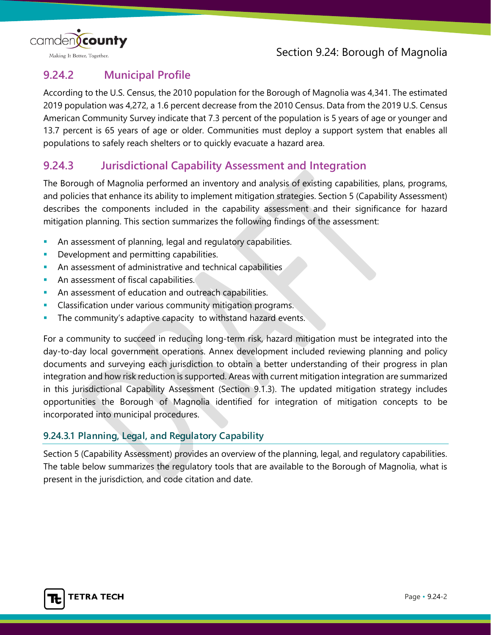

## **9.24.2 Municipal Profile**

According to the U.S. Census, the 2010 population for the Borough of Magnolia was 4,341. The estimated 2019 population was 4,272, a 1.6 percent decrease from the 2010 Census. Data from the 2019 U.S. Census American Community Survey indicate that 7.3 percent of the population is 5 years of age or younger and 13.7 percent is 65 years of age or older. Communities must deploy a support system that enables all populations to safely reach shelters or to quickly evacuate a hazard area.

## **9.24.3 Jurisdictional Capability Assessment and Integration**

The Borough of Magnolia performed an inventory and analysis of existing capabilities, plans, programs, and policies that enhance its ability to implement mitigation strategies. Section 5 (Capability Assessment) describes the components included in the capability assessment and their significance for hazard mitigation planning. This section summarizes the following findings of the assessment:

- **An assessment of planning, legal and regulatory capabilities.**
- Development and permitting capabilities.
- **An assessment of administrative and technical capabilities**
- **An assessment of fiscal capabilities.**
- An assessment of education and outreach capabilities.
- **Classification under various community mitigation programs.**
- **The community's adaptive capacity to withstand hazard events.**

For a community to succeed in reducing long-term risk, hazard mitigation must be integrated into the day-to-day local government operations. Annex development included reviewing planning and policy documents and surveying each jurisdiction to obtain a better understanding of their progress in plan integration and how risk reduction is supported. Areas with current mitigation integration are summarized in this jurisdictional Capability Assessment (Section 9.1.3). The updated mitigation strategy includes opportunities the Borough of Magnolia identified for integration of mitigation concepts to be incorporated into municipal procedures.

## **9.24.3.1 Planning, Legal, and Regulatory Capability**

Section 5 (Capability Assessment) provides an overview of the planning, legal, and regulatory capabilities. The table below summarizes the regulatory tools that are available to the Borough of Magnolia, what is present in the jurisdiction, and code citation and date.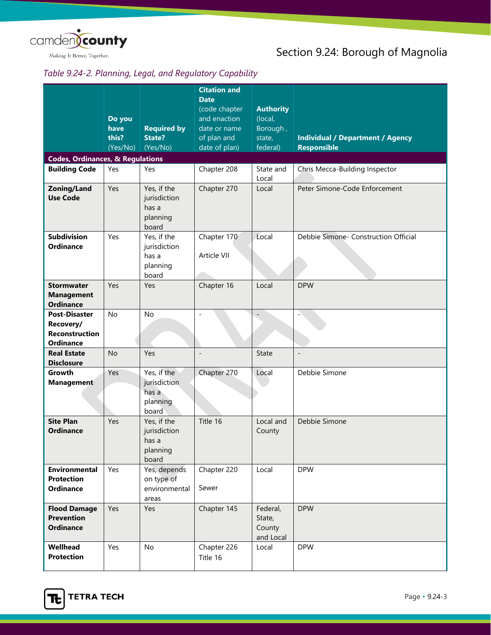

## *Table 9.24-2. Planning, Legal, and Regulatory Capability*

|                                             |           |                                                           | <b>Citation and</b> |                    |                                         |
|---------------------------------------------|-----------|-----------------------------------------------------------|---------------------|--------------------|-----------------------------------------|
|                                             |           |                                                           | <b>Date</b>         |                    |                                         |
|                                             |           |                                                           | (code chapter       | <b>Authority</b>   |                                         |
|                                             | Do you    |                                                           | and enaction        | (local,            |                                         |
|                                             | have      | <b>Required by</b>                                        | date or name        | Borough,           |                                         |
|                                             | this?     | <b>State?</b>                                             | of plan and         | state,             | <b>Individual / Department / Agency</b> |
|                                             | (Yes/No)  | (Yes/No)                                                  | date of plan)       | federal)           | <b>Responsible</b>                      |
| <b>Codes, Ordinances, &amp; Regulations</b> |           |                                                           |                     |                    |                                         |
| <b>Building Code</b>                        | Yes       | Yes                                                       | Chapter 208         | State and<br>Local | Chris Mecca-Building Inspector          |
| Zoning/Land<br><b>Use Code</b>              | Yes       | Yes, if the<br>jurisdiction<br>has a<br>planning<br>board | Chapter 270         | Local              | Peter Simone-Code Enforcement           |
| <b>Subdivision</b>                          | Yes       | Yes, if the                                               | Chapter 170         | Local              | Debbie Simone- Construction Official    |
| <b>Ordinance</b>                            |           | jurisdiction                                              |                     |                    |                                         |
|                                             |           | has a                                                     | Article VII         |                    |                                         |
|                                             |           | planning                                                  |                     |                    |                                         |
| <b>Stormwater</b>                           | Yes       | board<br>Yes                                              | Chapter 16          | Local              | <b>DPW</b>                              |
| <b>Management</b>                           |           |                                                           |                     |                    |                                         |
| <b>Ordinance</b>                            |           |                                                           |                     |                    |                                         |
| <b>Post-Disaster</b>                        | No        | <b>No</b>                                                 |                     |                    |                                         |
| Recovery/                                   |           |                                                           |                     |                    |                                         |
| <b>Reconstruction</b>                       |           |                                                           |                     |                    |                                         |
| <b>Ordinance</b>                            |           |                                                           |                     |                    |                                         |
| <b>Real Estate</b>                          | <b>No</b> | Yes                                                       | $\overline{a}$      | State              | $\overline{\phantom{a}}$                |
| <b>Disclosure</b>                           |           |                                                           |                     |                    |                                         |
| Growth                                      | Yes       | Yes, if the                                               | Chapter 270         | Local              | Debbie Simone                           |
| <b>Management</b>                           |           | jurisdiction                                              |                     |                    |                                         |
|                                             |           | has a                                                     |                     |                    |                                         |
|                                             |           | planning<br>board                                         |                     |                    |                                         |
| <b>Site Plan</b>                            | Yes       | Yes, if the                                               | Title 16            | Local and          | Debbie Simone                           |
| <b>Ordinance</b>                            |           | jurisdiction                                              |                     | County             |                                         |
|                                             |           | has a                                                     |                     |                    |                                         |
|                                             |           | planning                                                  |                     |                    |                                         |
|                                             |           | board                                                     |                     |                    |                                         |
| Environmental                               | Yes       | Yes, depends                                              | Chapter 220         | Local              | <b>DPW</b>                              |
| <b>Protection</b>                           |           | on type of                                                |                     |                    |                                         |
| <b>Ordinance</b>                            |           | environmental                                             | Sewer               |                    |                                         |
|                                             |           | areas                                                     |                     |                    |                                         |
| <b>Flood Damage</b>                         | Yes       | Yes                                                       | Chapter 145         | Federal,           | <b>DPW</b>                              |
| <b>Prevention</b>                           |           |                                                           |                     | State,             |                                         |
| <b>Ordinance</b>                            |           |                                                           |                     | County             |                                         |
| Wellhead                                    | Yes       | No                                                        | Chapter 226         | and Local<br>Local | <b>DPW</b>                              |
| <b>Protection</b>                           |           |                                                           | Title 16            |                    |                                         |
|                                             |           |                                                           |                     |                    |                                         |

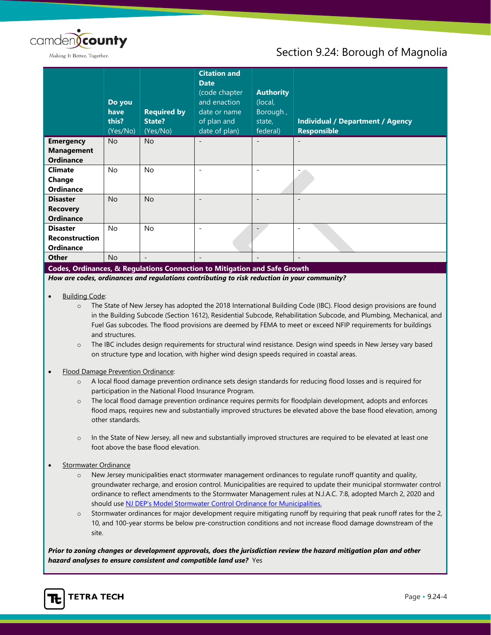

## Section 9.24: Borough of Magnolia

|                                                              | Do you<br>have<br>this?<br>(Yes/No) | <b>Required by</b><br>State?<br>(Yes/No) | <b>Citation and</b><br><b>Date</b><br>(code chapter<br>and enaction<br>date or name<br>of plan and<br>date of plan) | <b>Authority</b><br>(local,<br>Borough,<br>state,<br>federal) | <b>Individual / Department / Agency</b><br><b>Responsible</b> |
|--------------------------------------------------------------|-------------------------------------|------------------------------------------|---------------------------------------------------------------------------------------------------------------------|---------------------------------------------------------------|---------------------------------------------------------------|
| <b>Emergency</b><br><b>Management</b><br><b>Ordinance</b>    | <b>No</b>                           | <b>No</b>                                |                                                                                                                     |                                                               |                                                               |
| <b>Climate</b><br>Change<br><b>Ordinance</b>                 | <b>No</b>                           | <b>No</b>                                |                                                                                                                     |                                                               |                                                               |
| <b>Disaster</b><br><b>Recovery</b><br><b>Ordinance</b>       | <b>No</b>                           | <b>No</b>                                |                                                                                                                     |                                                               |                                                               |
| <b>Disaster</b><br><b>Reconstruction</b><br><b>Ordinance</b> | <b>No</b>                           | <b>No</b>                                |                                                                                                                     |                                                               |                                                               |
| <b>Other</b>                                                 | <b>No</b>                           | $\overline{\phantom{a}}$                 |                                                                                                                     |                                                               |                                                               |
|                                                              |                                     |                                          | Codes, Ordinances, & Regulations Connection to Mitigation and Safe Growth                                           |                                                               |                                                               |
|                                                              |                                     |                                          | How are codes, ordinances and regulations contributing to risk reduction in your community?                         |                                                               |                                                               |

#### **Building Code:**

- o The State of New Jersey has adopted the 2018 International Building Code (IBC). Flood design provisions are found in the Building Subcode (Section 1612), Residential Subcode, Rehabilitation Subcode, and Plumbing, Mechanical, and Fuel Gas subcodes. The flood provisions are deemed by FEMA to meet or exceed NFIP requirements for buildings and structures.
- o The IBC includes design requirements for structural wind resistance. Design wind speeds in New Jersey vary based on structure type and location, with higher wind design speeds required in coastal areas.

#### • Flood Damage Prevention Ordinance:

- o A local flood damage prevention ordinance sets design standards for reducing flood losses and is required for participation in the National Flood Insurance Program.
- o The local flood damage prevention ordinance requires permits for floodplain development, adopts and enforces flood maps, requires new and substantially improved structures be elevated above the base flood elevation, among other standards.
- o In the State of New Jersey, all new and substantially improved structures are required to be elevated at least one foot above the base flood elevation.

#### Stormwater Ordinance

- o New Jersey municipalities enact stormwater management ordinances to regulate runoff quantity and quality, groundwater recharge, and erosion control. Municipalities are required to update their municipal stormwater control ordinance to reflect amendments to the Stormwater Management rules at N.J.A.C. 7:8, adopted March 2, 2020 and should use [NJ DEP's Model Stormwater Control Ordinance for Municipalities.](https://www.njstormwater.org/bmp_manual/NJ_SWBMP_D.pdf)
- Stormwater ordinances for major development require mitigating runoff by requiring that peak runoff rates for the 2, 10, and 100-year storms be below pre-construction conditions and not increase flood damage downstream of the site.

*Prior to zoning changes or development approvals, does the jurisdiction review the hazard mitigation plan and other hazard analyses to ensure consistent and compatible land use?* Yes

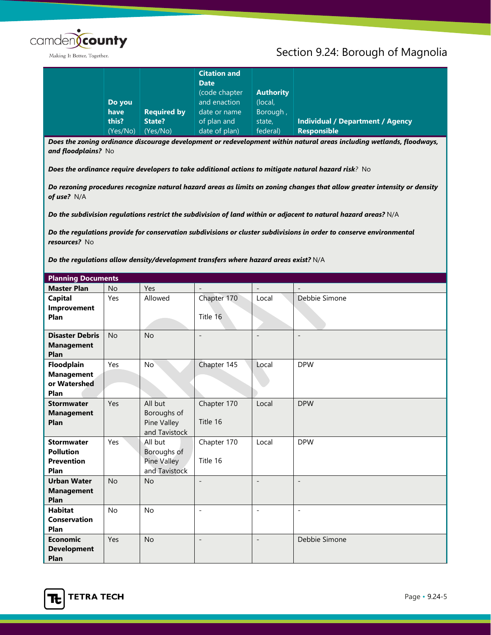

## Section 9.24: Borough of Magnolia

|          |                    | <b>Citation and</b><br><b>Date</b> |                  |                                         |
|----------|--------------------|------------------------------------|------------------|-----------------------------------------|
|          |                    | (code chapter                      | <b>Authority</b> |                                         |
| Do you   |                    | and enaction                       | (local,          |                                         |
| have     | <b>Required by</b> | date or name                       | Borough,         |                                         |
| this?    | State?             | of plan and                        | state,           | <b>Individual / Department / Agency</b> |
| (Yes/No) | (Yes/No)           | date of plan)                      | federal)         | <b>Responsible</b>                      |

*Does the zoning ordinance discourage development or redevelopment within natural areas including wetlands, floodways, and floodplains?* No

*Does the ordinance require developers to take additional actions to mitigate natural hazard risk?* No

*Do rezoning procedures recognize natural hazard areas as limits on zoning changes that allow greater intensity or density of use?* N/A

*Do the subdivision regulations restrict the subdivision of land within or adjacent to natural hazard areas?* N/A

*Do the regulations provide for conservation subdivisions or cluster subdivisions in order to conserve environmental resources?* No

*Do the regulations allow density/development transfers where hazard areas exist?* N/A

|                                                                    | <b>Planning Documents</b> |                                                               |                          |                          |                          |  |
|--------------------------------------------------------------------|---------------------------|---------------------------------------------------------------|--------------------------|--------------------------|--------------------------|--|
| <b>Master Plan</b>                                                 | <b>No</b>                 | Yes                                                           | $\overline{\phantom{a}}$ | $\overline{\phantom{0}}$ | $\overline{\phantom{a}}$ |  |
| <b>Capital</b><br>Improvement<br>Plan                              | Yes                       | Allowed                                                       | Chapter 170<br>Title 16  | Local                    | Debbie Simone            |  |
| <b>Disaster Debris</b><br><b>Management</b><br>Plan                | <b>No</b>                 | <b>No</b>                                                     | $\overline{\phantom{a}}$ |                          | $\overline{\phantom{a}}$ |  |
| Floodplain<br><b>Management</b><br>or Watershed<br>Plan            | Yes                       | No                                                            | Chapter 145              | Local                    | <b>DPW</b>               |  |
| <b>Stormwater</b><br><b>Management</b><br>Plan                     | Yes                       | All but<br>Boroughs of<br>Pine Valley<br>and Tavistock        | Chapter 170<br>Title 16  | Local                    | <b>DPW</b>               |  |
| <b>Stormwater</b><br><b>Pollution</b><br><b>Prevention</b><br>Plan | Yes                       | All but<br>Boroughs of<br><b>Pine Valley</b><br>and Tavistock | Chapter 170<br>Title 16  | Local                    | <b>DPW</b>               |  |
| <b>Urban Water</b><br><b>Management</b><br>Plan                    | <b>No</b>                 | <b>No</b>                                                     | $\overline{\phantom{0}}$ | $\qquad \qquad -$        | $\overline{\phantom{a}}$ |  |
| <b>Habitat</b><br><b>Conservation</b><br>Plan                      | No                        | No                                                            | $\overline{a}$           | $\overline{a}$           | $\overline{a}$           |  |
| <b>Economic</b><br><b>Development</b><br>Plan                      | Yes                       | <b>No</b>                                                     | $\overline{\phantom{m}}$ | $\overline{a}$           | Debbie Simone            |  |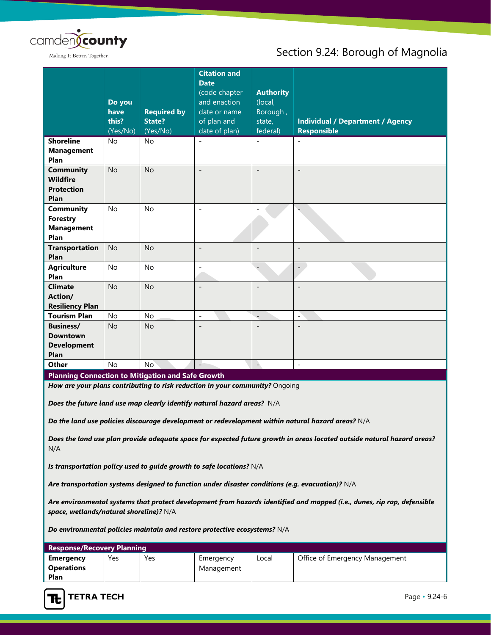

## Section 9.24: Borough of Magnolia

|                                                                                                                         |           |                    | <b>Citation and</b><br><b>Date</b>                                           |                  |                                                                                                   |
|-------------------------------------------------------------------------------------------------------------------------|-----------|--------------------|------------------------------------------------------------------------------|------------------|---------------------------------------------------------------------------------------------------|
|                                                                                                                         |           |                    | (code chapter                                                                | <b>Authority</b> |                                                                                                   |
|                                                                                                                         | Do you    |                    | and enaction                                                                 | (local,          |                                                                                                   |
|                                                                                                                         | have      | <b>Required by</b> | date or name                                                                 | Borough,         |                                                                                                   |
|                                                                                                                         | this?     | <b>State?</b>      | of plan and                                                                  | state,           | <b>Individual / Department / Agency</b>                                                           |
|                                                                                                                         | (Yes/No)  | (Yes/No)           | date of plan)                                                                | federal)         | <b>Responsible</b>                                                                                |
| <b>Shoreline</b>                                                                                                        | <b>No</b> | No                 |                                                                              |                  | $\overline{\phantom{a}}$                                                                          |
| <b>Management</b>                                                                                                       |           |                    |                                                                              |                  |                                                                                                   |
| Plan                                                                                                                    |           |                    |                                                                              |                  |                                                                                                   |
| <b>Community</b>                                                                                                        | <b>No</b> | <b>No</b>          |                                                                              | $\overline{a}$   | $\overline{\phantom{a}}$                                                                          |
| <b>Wildfire</b>                                                                                                         |           |                    |                                                                              |                  |                                                                                                   |
| <b>Protection</b>                                                                                                       |           |                    |                                                                              |                  |                                                                                                   |
| Plan                                                                                                                    |           |                    |                                                                              |                  |                                                                                                   |
| Community                                                                                                               | <b>No</b> | <b>No</b>          | $\overline{\phantom{a}}$                                                     |                  |                                                                                                   |
| <b>Forestry</b>                                                                                                         |           |                    |                                                                              |                  |                                                                                                   |
| <b>Management</b>                                                                                                       |           |                    |                                                                              |                  |                                                                                                   |
| Plan                                                                                                                    |           |                    |                                                                              |                  |                                                                                                   |
| <b>Transportation</b><br>Plan                                                                                           | <b>No</b> | <b>No</b>          | $\overline{a}$                                                               |                  | $\overline{a}$                                                                                    |
|                                                                                                                         | <b>No</b> | <b>No</b>          | $\frac{1}{2}$                                                                |                  |                                                                                                   |
| <b>Agriculture</b><br>Plan                                                                                              |           |                    |                                                                              |                  | $\overline{a}$                                                                                    |
| <b>Climate</b>                                                                                                          | <b>No</b> | <b>No</b>          |                                                                              |                  |                                                                                                   |
| Action/                                                                                                                 |           |                    |                                                                              |                  |                                                                                                   |
| <b>Resiliency Plan</b>                                                                                                  |           |                    |                                                                              |                  |                                                                                                   |
| <b>Tourism Plan</b>                                                                                                     | <b>No</b> | No                 |                                                                              |                  | $\overline{a}$                                                                                    |
| <b>Business/</b>                                                                                                        | <b>No</b> | <b>No</b>          |                                                                              |                  |                                                                                                   |
| <b>Downtown</b>                                                                                                         |           |                    |                                                                              |                  |                                                                                                   |
| <b>Development</b>                                                                                                      |           |                    |                                                                              |                  |                                                                                                   |
| Plan                                                                                                                    |           |                    |                                                                              |                  |                                                                                                   |
| Other                                                                                                                   | <b>No</b> | <b>No</b>          |                                                                              | $\rightarrow$    | $\Box$                                                                                            |
| <b>Planning Connection to Mitigation and Safe Growth</b>                                                                |           |                    |                                                                              |                  |                                                                                                   |
|                                                                                                                         |           |                    | How are your plans contributing to risk reduction in your community? Ongoing |                  |                                                                                                   |
| Does the future land use map clearly identify natural hazard areas? N/A                                                 |           |                    |                                                                              |                  |                                                                                                   |
|                                                                                                                         |           |                    |                                                                              |                  | Do the land use policies discourage development or redevelopment within natural hazard areas? N/A |
| Does the land use plan provide adequate space for expected future growth in areas located outside natural hazard areas? |           |                    |                                                                              |                  |                                                                                                   |

N/A

*Is transportation policy used to guide growth to safe locations?* N/A

*Are transportation systems designed to function under disaster conditions (e.g. evacuation)?* N/A

*Are environmental systems that protect development from hazards identified and mapped (i.e., dunes, rip rap, defensible space, wetlands/natural shoreline)?* N/A

*Do environmental policies maintain and restore protective ecosystems?* N/A

| <b>Response/Recovery Planning</b> |     |     |            |       |                                |
|-----------------------------------|-----|-----|------------|-------|--------------------------------|
| Emergency                         | Yes | Yes | Emergency  | Local | Office of Emergency Management |
| <b>Operations</b>                 |     |     | Management |       |                                |
| Plan                              |     |     |            |       |                                |

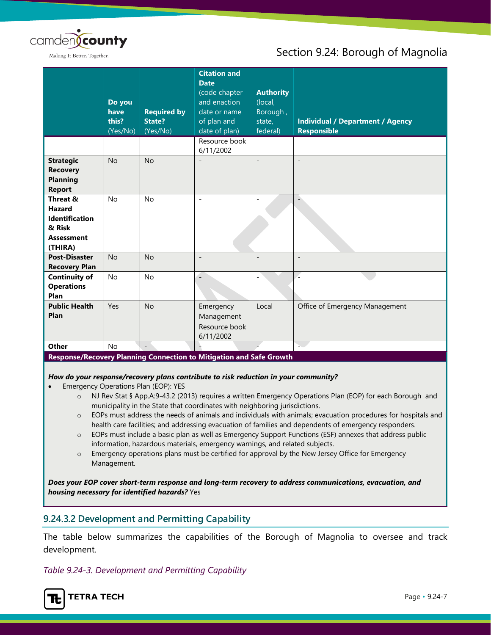

## Section 9.24: Borough of Magnolia

|                                                                                              | Do you<br>have<br>this?<br>(Yes/No) | <b>Required by</b><br><b>State?</b><br>(Yes/No) | <b>Citation and</b><br><b>Date</b><br>(code chapter<br>and enaction<br>date or name<br>of plan and<br>date of plan) | <b>Authority</b><br>(local,<br>Borough,<br>state,<br>federal) | <b>Individual / Department / Agency</b><br><b>Responsible</b> |
|----------------------------------------------------------------------------------------------|-------------------------------------|-------------------------------------------------|---------------------------------------------------------------------------------------------------------------------|---------------------------------------------------------------|---------------------------------------------------------------|
|                                                                                              |                                     |                                                 | Resource book<br>6/11/2002                                                                                          |                                                               |                                                               |
| <b>Strategic</b><br><b>Recovery</b><br><b>Planning</b><br><b>Report</b>                      | <b>No</b>                           | <b>No</b>                                       |                                                                                                                     | $\overline{\phantom{a}}$                                      | $\overline{\phantom{a}}$                                      |
| Threat &<br><b>Hazard</b><br><b>Identification</b><br>& Risk<br><b>Assessment</b><br>(THIRA) | <b>No</b>                           | <b>No</b>                                       | $\overline{a}$                                                                                                      |                                                               |                                                               |
| <b>Post-Disaster</b><br><b>Recovery Plan</b>                                                 | <b>No</b>                           | <b>No</b>                                       | $\blacksquare$                                                                                                      | $\overline{\phantom{a}}$                                      | $\overline{\phantom{a}}$                                      |
| <b>Continuity of</b><br><b>Operations</b><br>Plan                                            | No                                  | <b>No</b>                                       |                                                                                                                     | $\overline{\phantom{a}}$                                      | L.                                                            |
| <b>Public Health</b><br>Plan                                                                 | Yes                                 | <b>No</b>                                       | Emergency<br>Management<br>Resource book<br>6/11/2002                                                               | Local                                                         | Office of Emergency Management                                |
| Other                                                                                        | No                                  | $\overline{a}$                                  |                                                                                                                     |                                                               | s.                                                            |

#### **Response/Recovery Planning Connection to Mitigation and Safe Growth**

#### *How do your response/recovery plans contribute to risk reduction in your community?*

- Emergency Operations Plan (EOP): YES
	- o NJ Rev Stat § App.A:9-43.2 (2013) requires a written Emergency Operations Plan (EOP) for each Borough and municipality in the State that coordinates with neighboring jurisdictions.
	- o EOPs must address the needs of animals and individuals with animals; evacuation procedures for hospitals and health care facilities; and addressing evacuation of families and dependents of emergency responders.
	- o EOPs must include a basic plan as well as Emergency Support Functions (ESF) annexes that address public information, hazardous materials, emergency warnings, and related subjects.
	- o Emergency operations plans must be certified for approval by the New Jersey Office for Emergency Management.

*Does your EOP cover short-term response and long-term recovery to address communications, evacuation, and housing necessary for identified hazards?* Yes

#### **9.24.3.2 Development and Permitting Capability**

The table below summarizes the capabilities of the Borough of Magnolia to oversee and track development.

#### *Table 9.24-3. Development and Permitting Capability*

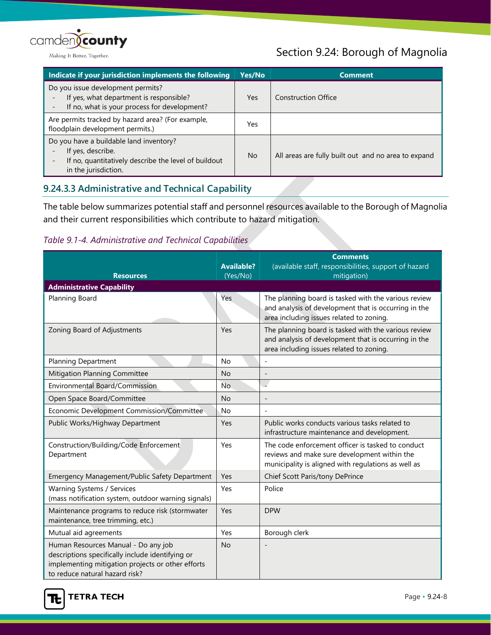

## Section 9.24: Borough of Magnolia

| Indicate if your jurisdiction implements the following                                                                                       | Yes/No    | <b>Comment</b>                                      |
|----------------------------------------------------------------------------------------------------------------------------------------------|-----------|-----------------------------------------------------|
| Do you issue development permits?<br>If yes, what department is responsible?<br>If no, what is your process for development?                 | Yes       | <b>Construction Office</b>                          |
| Are permits tracked by hazard area? (For example,<br>floodplain development permits.)                                                        | Yes       |                                                     |
| Do you have a buildable land inventory?<br>If yes, describe.<br>If no, quantitatively describe the level of buildout<br>in the jurisdiction. | <b>No</b> | All areas are fully built out and no area to expand |

## **9.24.3.3 Administrative and Technical Capability**

The table below summarizes potential staff and personnel resources available to the Borough of Magnolia and their current responsibilities which contribute to hazard mitigation.

#### *Table 9.1-4. Administrative and Technical Capabilities*

|                                                                                                                                                                                | <b>Available?</b> | <b>Comments</b><br>(available staff, responsibilities, support of hazard                                                                                 |
|--------------------------------------------------------------------------------------------------------------------------------------------------------------------------------|-------------------|----------------------------------------------------------------------------------------------------------------------------------------------------------|
| <b>Resources</b>                                                                                                                                                               | (Yes/No)          | mitigation)                                                                                                                                              |
| <b>Administrative Capability</b>                                                                                                                                               |                   |                                                                                                                                                          |
| Planning Board                                                                                                                                                                 | Yes               | The planning board is tasked with the various review<br>and analysis of development that is occurring in the<br>area including issues related to zoning. |
| Zoning Board of Adjustments                                                                                                                                                    | Yes               | The planning board is tasked with the various review<br>and analysis of development that is occurring in the<br>area including issues related to zoning. |
| <b>Planning Department</b>                                                                                                                                                     | No                |                                                                                                                                                          |
| Mitigation Planning Committee                                                                                                                                                  | <b>No</b>         | $\overline{a}$                                                                                                                                           |
| Environmental Board/Commission                                                                                                                                                 | <b>No</b>         | $\overline{a}$                                                                                                                                           |
| Open Space Board/Committee                                                                                                                                                     | <b>No</b>         | $\overline{a}$                                                                                                                                           |
| Economic Development Commission/Committee                                                                                                                                      | <b>No</b>         | $\overline{\phantom{a}}$                                                                                                                                 |
| Public Works/Highway Department                                                                                                                                                | Yes               | Public works conducts various tasks related to<br>infrastructure maintenance and development.                                                            |
| Construction/Building/Code Enforcement<br>Department                                                                                                                           | Yes               | The code enforcement officer is tasked to conduct<br>reviews and make sure development within the<br>municipality is aligned with regulations as well as |
| Emergency Management/Public Safety Department                                                                                                                                  | Yes               | Chief Scott Paris/tony DePrince                                                                                                                          |
| Warning Systems / Services<br>(mass notification system, outdoor warning signals)                                                                                              | Yes               | Police                                                                                                                                                   |
| Maintenance programs to reduce risk (stormwater<br>maintenance, tree trimming, etc.)                                                                                           | Yes               | <b>DPW</b>                                                                                                                                               |
| Mutual aid agreements                                                                                                                                                          | Yes               | Borough clerk                                                                                                                                            |
| Human Resources Manual - Do any job<br>descriptions specifically include identifying or<br>implementing mitigation projects or other efforts<br>to reduce natural hazard risk? | <b>No</b>         |                                                                                                                                                          |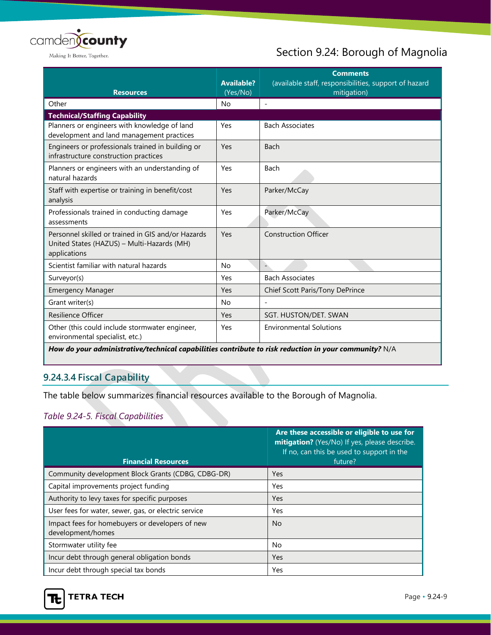

## Section 9.24: Borough of Magnolia

| <b>Resources</b>                                                                                                 | <b>Available?</b><br>(Yes/No) | <b>Comments</b><br>(available staff, responsibilities, support of hazard<br>mitigation) |
|------------------------------------------------------------------------------------------------------------------|-------------------------------|-----------------------------------------------------------------------------------------|
| Other                                                                                                            | <b>No</b>                     |                                                                                         |
| <b>Technical/Staffing Capability</b>                                                                             |                               |                                                                                         |
| Planners or engineers with knowledge of land<br>development and land management practices                        | Yes                           | <b>Bach Associates</b>                                                                  |
| Engineers or professionals trained in building or<br>infrastructure construction practices                       | Yes                           | Bach                                                                                    |
| Planners or engineers with an understanding of<br>natural hazards                                                | Yes                           | Bach                                                                                    |
| Staff with expertise or training in benefit/cost<br>analysis                                                     | Yes                           | Parker/McCay                                                                            |
| Professionals trained in conducting damage<br>assessments                                                        | Yes                           | Parker/McCay                                                                            |
| Personnel skilled or trained in GIS and/or Hazards<br>United States (HAZUS) - Multi-Hazards (MH)<br>applications | Yes                           | <b>Construction Officer</b>                                                             |
| Scientist familiar with natural hazards                                                                          | <b>No</b>                     |                                                                                         |
| Surveyor(s)                                                                                                      | Yes                           | <b>Bach Associates</b>                                                                  |
| <b>Emergency Manager</b>                                                                                         | Yes                           | Chief Scott Paris/Tony DePrince                                                         |
| Grant writer(s)                                                                                                  | <b>No</b>                     |                                                                                         |
| <b>Resilience Officer</b>                                                                                        | Yes                           | SGT. HUSTON/DET. SWAN                                                                   |
| Other (this could include stormwater engineer,<br>environmental specialist, etc.)                                | Yes                           | <b>Environmental Solutions</b>                                                          |

*How do your administrative/technical capabilities contribute to risk reduction in your community?* N/A

## **9.24.3.4 Fiscal Capability**

The table below summarizes financial resources available to the Borough of Magnolia.

## *Table 9.24-5. Fiscal Capabilities*

| <b>Financial Resources</b>                                           | Are these accessible or eligible to use for<br>mitigation? (Yes/No) If yes, please describe.<br>If no, can this be used to support in the<br>future? |
|----------------------------------------------------------------------|------------------------------------------------------------------------------------------------------------------------------------------------------|
| Community development Block Grants (CDBG, CDBG-DR)                   | Yes                                                                                                                                                  |
| Capital improvements project funding                                 | Yes                                                                                                                                                  |
| Authority to levy taxes for specific purposes                        | Yes                                                                                                                                                  |
| User fees for water, sewer, gas, or electric service                 | Yes                                                                                                                                                  |
| Impact fees for homebuyers or developers of new<br>development/homes | No                                                                                                                                                   |
| Stormwater utility fee                                               | No                                                                                                                                                   |
| Incur debt through general obligation bonds                          | <b>Yes</b>                                                                                                                                           |
| Incur debt through special tax bonds                                 | Yes                                                                                                                                                  |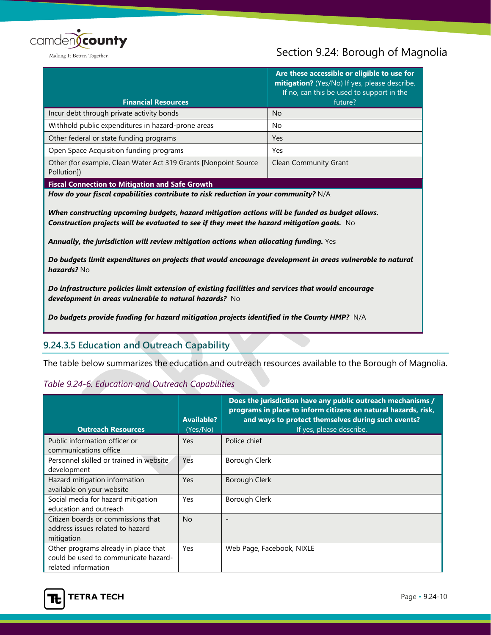

## Section 9.24: Borough of Magnolia

| <b>Financial Resources</b>                                                     | Are these accessible or eligible to use for<br>mitigation? (Yes/No) If yes, please describe.<br>If no, can this be used to support in the<br>future? |
|--------------------------------------------------------------------------------|------------------------------------------------------------------------------------------------------------------------------------------------------|
| Incur debt through private activity bonds                                      | <b>No</b>                                                                                                                                            |
| Withhold public expenditures in hazard-prone areas                             | No                                                                                                                                                   |
| Other federal or state funding programs                                        | <b>Yes</b>                                                                                                                                           |
| Open Space Acquisition funding programs                                        | Yes                                                                                                                                                  |
| Other (for example, Clean Water Act 319 Grants [Nonpoint Source<br>Pollution]) | <b>Clean Community Grant</b>                                                                                                                         |

**Fiscal Connection to Mitigation and Safe Growth**

*How do your fiscal capabilities contribute to risk reduction in your community?* N/A

*When constructing upcoming budgets, hazard mitigation actions will be funded as budget allows. Construction projects will be evaluated to see if they meet the hazard mitigation goals.* No

*Annually, the jurisdiction will review mitigation actions when allocating funding.* Yes

*Do budgets limit expenditures on projects that would encourage development in areas vulnerable to natural hazards?* No

*Do infrastructure policies limit extension of existing facilities and services that would encourage development in areas vulnerable to natural hazards?* No

*Do budgets provide funding for hazard mitigation projects identified in the County HMP?* N/A

#### **9.24.3.5 Education and Outreach Capability**

The table below summarizes the education and outreach resources available to the Borough of Magnolia.

#### *Table 9.24-6. Education and Outreach Capabilities*

| <b>Outreach Resources</b>                                                                           | <b>Available?</b><br>(Yes/No) | Does the jurisdiction have any public outreach mechanisms /<br>programs in place to inform citizens on natural hazards, risk,<br>and ways to protect themselves during such events?<br>If yes, please describe. |
|-----------------------------------------------------------------------------------------------------|-------------------------------|-----------------------------------------------------------------------------------------------------------------------------------------------------------------------------------------------------------------|
| Public information officer or<br>communications office                                              | <b>Yes</b>                    | Police chief                                                                                                                                                                                                    |
| Personnel skilled or trained in website<br>development                                              | <b>Yes</b>                    | Borough Clerk                                                                                                                                                                                                   |
| Hazard mitigation information<br>available on your website                                          | Yes                           | Borough Clerk                                                                                                                                                                                                   |
| Social media for hazard mitigation<br>education and outreach                                        | Yes                           | Borough Clerk                                                                                                                                                                                                   |
| Citizen boards or commissions that<br>address issues related to hazard<br>mitigation                | <b>No</b>                     |                                                                                                                                                                                                                 |
| Other programs already in place that<br>could be used to communicate hazard-<br>related information | Yes                           | Web Page, Facebook, NIXLE                                                                                                                                                                                       |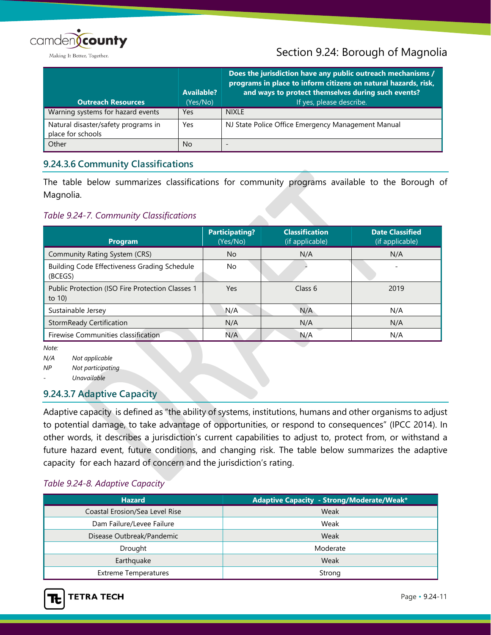

## Section 9.24: Borough of Magnolia

| <b>Outreach Resources</b>                                | <b>Available?</b><br>(Yes/No) | Does the jurisdiction have any public outreach mechanisms /<br>programs in place to inform citizens on natural hazards, risk,<br>and ways to protect themselves during such events?<br>If yes, please describe. |
|----------------------------------------------------------|-------------------------------|-----------------------------------------------------------------------------------------------------------------------------------------------------------------------------------------------------------------|
| Warning systems for hazard events                        | Yes                           | <b>NIXLE</b>                                                                                                                                                                                                    |
| Natural disaster/safety programs in<br>place for schools | Yes                           | NJ State Police Office Emergency Management Manual                                                                                                                                                              |
| Other                                                    | <b>No</b>                     |                                                                                                                                                                                                                 |

#### **9.24.3.6 Community Classifications**

The table below summarizes classifications for community programs available to the Borough of Magnolia.

#### *Table 9.24-7. Community Classifications*

| Program                                                       | <b>Participating?</b><br>(Yes/No) | <b>Classification</b><br>(if applicable) | <b>Date Classified</b><br>(if applicable) |
|---------------------------------------------------------------|-----------------------------------|------------------------------------------|-------------------------------------------|
| Community Rating System (CRS)                                 | <b>No</b>                         | N/A                                      | N/A                                       |
| Building Code Effectiveness Grading Schedule<br>(BCEGS)       | No.                               |                                          |                                           |
| Public Protection (ISO Fire Protection Classes 1<br>to $10$ ) | <b>Yes</b>                        | Class 6                                  | 2019                                      |
| Sustainable Jersey                                            | N/A                               | N/A                                      | N/A                                       |
| <b>StormReady Certification</b>                               | N/A                               | N/A                                      | N/A                                       |
| Firewise Communities classification                           | N/A                               | N/A                                      | N/A                                       |

*Note:*

*N/A Not applicable*

*NP Not participating*

*- Unavailable*

#### **9.24.3.7 Adaptive Capacity**

Adaptive capacity is defined as "the ability of systems, institutions, humans and other organisms to adjust to potential damage, to take advantage of opportunities, or respond to consequences" (IPCC 2014). In other words, it describes a jurisdiction's current capabilities to adjust to, protect from, or withstand a future hazard event, future conditions, and changing risk. The table below summarizes the adaptive capacity for each hazard of concern and the jurisdiction's rating.

#### *Table 9.24-8. Adaptive Capacity*

| <b>Hazard</b>                  | Adaptive Capacity - Strong/Moderate/Weak* |  |  |
|--------------------------------|-------------------------------------------|--|--|
| Coastal Erosion/Sea Level Rise | Weak                                      |  |  |
| Dam Failure/Levee Failure      | Weak                                      |  |  |
| Disease Outbreak/Pandemic      | Weak                                      |  |  |
| Drought                        | Moderate                                  |  |  |
| Earthquake                     | Weak                                      |  |  |
| <b>Extreme Temperatures</b>    | Strong                                    |  |  |

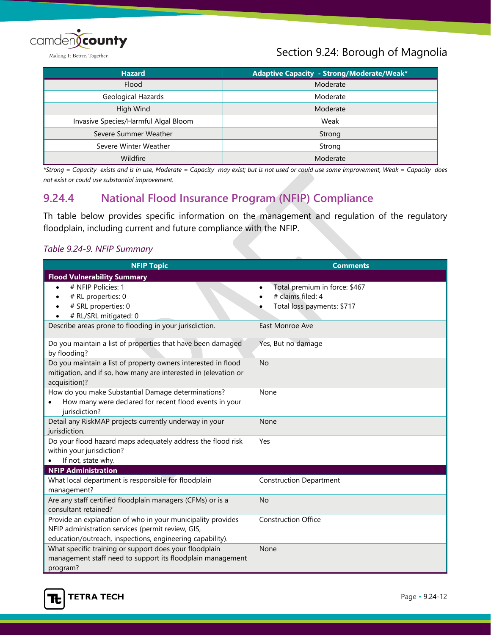

## Section 9.24: Borough of Magnolia

| <b>Hazard</b>                        | Adaptive Capacity - Strong/Moderate/Weak* |  |  |
|--------------------------------------|-------------------------------------------|--|--|
| Flood                                | Moderate                                  |  |  |
| Geological Hazards                   | Moderate                                  |  |  |
| High Wind                            | Moderate                                  |  |  |
| Invasive Species/Harmful Algal Bloom | Weak                                      |  |  |
| Severe Summer Weather                | Strong                                    |  |  |
| Severe Winter Weather                | Strong                                    |  |  |
| Wildfire                             | Moderate                                  |  |  |

*\*Strong = Capacity exists and is in use, Moderate = Capacity may exist; but is not used or could use some improvement, Weak = Capacity does not exist or could use substantial improvement.*

## **9.24.4 National Flood Insurance Program (NFIP) Compliance**

Th table below provides specific information on the management and regulation of the regulatory floodplain, including current and future compliance with the NFIP.

#### *Table 9.24-9. NFIP Summary*

| <b>NFIP Topic</b>                                                                                                                                                             | <b>Comments</b>                                                                               |
|-------------------------------------------------------------------------------------------------------------------------------------------------------------------------------|-----------------------------------------------------------------------------------------------|
| <b>Flood Vulnerability Summary</b>                                                                                                                                            |                                                                                               |
| # NFIP Policies: 1<br># RL properties: 0<br># SRL properties: 0<br># RL/SRL mitigated: 0                                                                                      | Total premium in force: \$467<br>$\bullet$<br># claims filed: 4<br>Total loss payments: \$717 |
| Describe areas prone to flooding in your jurisdiction.                                                                                                                        | East Monroe Ave                                                                               |
| Do you maintain a list of properties that have been damaged<br>by flooding?                                                                                                   | Yes, But no damage                                                                            |
| Do you maintain a list of property owners interested in flood<br>mitigation, and if so, how many are interested in (elevation or<br>acquisition)?                             | <b>No</b>                                                                                     |
| How do you make Substantial Damage determinations?<br>How many were declared for recent flood events in your<br>jurisdiction?                                                 | None                                                                                          |
| Detail any RiskMAP projects currently underway in your<br>jurisdiction.                                                                                                       | None                                                                                          |
| Do your flood hazard maps adequately address the flood risk<br>within your jurisdiction?<br>If not, state why.                                                                | Yes                                                                                           |
| <b>NFIP Administration</b>                                                                                                                                                    |                                                                                               |
| What local department is responsible for floodplain<br>management?                                                                                                            | <b>Construction Department</b>                                                                |
| Are any staff certified floodplain managers (CFMs) or is a<br>consultant retained?                                                                                            | <b>No</b>                                                                                     |
| Provide an explanation of who in your municipality provides<br>NFIP administration services (permit review, GIS,<br>education/outreach, inspections, engineering capability). | <b>Construction Office</b>                                                                    |
| What specific training or support does your floodplain<br>management staff need to support its floodplain management<br>program?                                              | None                                                                                          |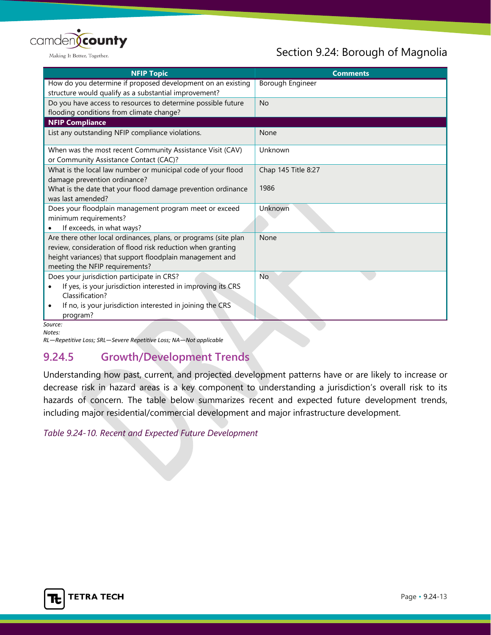

## Section 9.24: Borough of Magnolia

| <b>NFIP Topic</b>                                               | <b>Comments</b>     |
|-----------------------------------------------------------------|---------------------|
| How do you determine if proposed development on an existing     | Borough Engineer    |
| structure would qualify as a substantial improvement?           |                     |
| Do you have access to resources to determine possible future    | <b>No</b>           |
| flooding conditions from climate change?                        |                     |
| <b>NFIP Compliance</b>                                          |                     |
| List any outstanding NFIP compliance violations.                | None                |
| When was the most recent Community Assistance Visit (CAV)       | Unknown             |
| or Community Assistance Contact (CAC)?                          |                     |
| What is the local law number or municipal code of your flood    | Chap 145 Title 8:27 |
| damage prevention ordinance?                                    |                     |
| What is the date that your flood damage prevention ordinance    | 1986                |
| was last amended?                                               |                     |
| Does your floodplain management program meet or exceed          | Unknown             |
| minimum requirements?                                           |                     |
| If exceeds, in what ways?                                       |                     |
| Are there other local ordinances, plans, or programs (site plan | None                |
| review, consideration of flood risk reduction when granting     |                     |
| height variances) that support floodplain management and        |                     |
| meeting the NFIP requirements?                                  |                     |
| Does your jurisdiction participate in CRS?                      | <b>No</b>           |
| If yes, is your jurisdiction interested in improving its CRS    |                     |
| Classification?                                                 |                     |
| If no, is your jurisdiction interested in joining the CRS       |                     |
| program?                                                        |                     |
| Source:                                                         |                     |

*Notes:*

*RL—Repetitive Loss; SRL—Severe Repetitive Loss; NA—Not applicable*

## **9.24.5 Growth/Development Trends**

Understanding how past, current, and projected development patterns have or are likely to increase or decrease risk in hazard areas is a key component to understanding a jurisdiction's overall risk to its hazards of concern. The table below summarizes recent and expected future development trends, including major residential/commercial development and major infrastructure development.

*Table 9.24-10. Recent and Expected Future Development*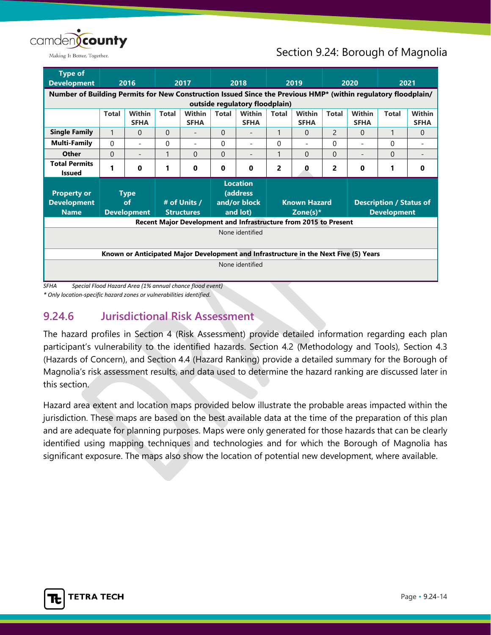

## Section 9.24: Borough of Magnolia

| <b>Type of</b>                                                                                                |                                                                                                                                                                     |                          |                                              |                                                     |          |                                                                                      |   |                    |                |                                |   |             |
|---------------------------------------------------------------------------------------------------------------|---------------------------------------------------------------------------------------------------------------------------------------------------------------------|--------------------------|----------------------------------------------|-----------------------------------------------------|----------|--------------------------------------------------------------------------------------|---|--------------------|----------------|--------------------------------|---|-------------|
| <b>Development</b>                                                                                            |                                                                                                                                                                     | 2016                     |                                              | 2017                                                |          | 2018                                                                                 |   | 2019               |                | 2020                           |   | 2021        |
| Number of Building Permits for New Construction Issued Since the Previous HMP* (within regulatory floodplain/ |                                                                                                                                                                     |                          |                                              |                                                     |          |                                                                                      |   |                    |                |                                |   |             |
|                                                                                                               | outside regulatory floodplain)                                                                                                                                      |                          |                                              |                                                     |          |                                                                                      |   |                    |                |                                |   |             |
|                                                                                                               | <b>Within</b><br>Within<br>Within<br><b>Within</b><br><b>Within</b><br><b>Total</b><br><b>Total</b><br><b>Total</b><br><b>Total</b><br><b>Total</b><br><b>Total</b> |                          |                                              |                                                     |          |                                                                                      |   |                    |                | <b>Within</b>                  |   |             |
|                                                                                                               |                                                                                                                                                                     | <b>SFHA</b>              |                                              | <b>SFHA</b>                                         |          | <b>SFHA</b>                                                                          |   | <b>SFHA</b>        |                | <b>SFHA</b>                    |   | <b>SFHA</b> |
| <b>Single Family</b>                                                                                          | 1                                                                                                                                                                   | 0                        | $\Omega$                                     |                                                     | $\Omega$ |                                                                                      | 1 | $\Omega$           | $\mathcal{P}$  | 0                              | 1 | $\Omega$    |
| Multi-Family                                                                                                  | $\Omega$                                                                                                                                                            | $\overline{\phantom{a}}$ | $\Omega$                                     | $\overline{\phantom{a}}$                            | $\Omega$ | ۰                                                                                    | 0 | Ξ.                 | 0              | $\overline{\phantom{0}}$       | 0 |             |
| <b>Other</b>                                                                                                  | $\Omega$                                                                                                                                                            |                          | 1                                            | $\Omega$                                            | $\Omega$ | $\overline{a}$                                                                       | 1 | $\Omega$           | $\overline{0}$ | $\overline{\phantom{a}}$       | 0 |             |
| <b>Total Permits</b><br><b>Issued</b>                                                                         |                                                                                                                                                                     | 0                        | 1                                            | 0                                                   | 0        | $\bf{0}$                                                                             | 2 | 0                  | 2              | 0                              | 1 | 0           |
|                                                                                                               |                                                                                                                                                                     |                          |                                              |                                                     |          | <b>Location</b>                                                                      |   |                    |                |                                |   |             |
| <b>Property or</b>                                                                                            |                                                                                                                                                                     | <b>Type</b>              |                                              |                                                     |          | (address                                                                             |   |                    |                |                                |   |             |
| <b>Development</b>                                                                                            |                                                                                                                                                                     | of                       |                                              | and/or block<br># of Units /<br><b>Known Hazard</b> |          |                                                                                      |   |                    |                | <b>Description / Status of</b> |   |             |
| <b>Name</b>                                                                                                   |                                                                                                                                                                     | <b>Development</b>       | and lot)<br><b>Structures</b><br>Zone(s) $*$ |                                                     |          |                                                                                      |   | <b>Development</b> |                |                                |   |             |
|                                                                                                               |                                                                                                                                                                     |                          |                                              |                                                     |          | Recent Major Development and Infrastructure from 2015 to Present                     |   |                    |                |                                |   |             |
|                                                                                                               |                                                                                                                                                                     |                          |                                              |                                                     |          | None identified                                                                      |   |                    |                |                                |   |             |
|                                                                                                               |                                                                                                                                                                     |                          |                                              |                                                     |          |                                                                                      |   |                    |                |                                |   |             |
|                                                                                                               |                                                                                                                                                                     |                          |                                              |                                                     |          | Known or Anticipated Major Development and Infrastructure in the Next Five (5) Years |   |                    |                |                                |   |             |
|                                                                                                               |                                                                                                                                                                     |                          |                                              |                                                     |          | None identified                                                                      |   |                    |                |                                |   |             |
|                                                                                                               |                                                                                                                                                                     |                          |                                              |                                                     |          |                                                                                      |   |                    |                |                                |   |             |

*SFHA Special Flood Hazard Area (1% annual chance flood event)*

*\* Only location-specific hazard zones or vulnerabilities identified.*

## **9.24.6 Jurisdictional Risk Assessment**

The hazard profiles in Section 4 (Risk Assessment) provide detailed information regarding each plan participant's vulnerability to the identified hazards. Section 4.2 (Methodology and Tools), Section 4.3 (Hazards of Concern), and Section 4.4 (Hazard Ranking) provide a detailed summary for the Borough of Magnolia's risk assessment results, and data used to determine the hazard ranking are discussed later in this section.

Hazard area extent and location maps provided below illustrate the probable areas impacted within the jurisdiction. These maps are based on the best available data at the time of the preparation of this plan and are adequate for planning purposes. Maps were only generated for those hazards that can be clearly identified using mapping techniques and technologies and for which the Borough of Magnolia has significant exposure. The maps also show the location of potential new development, where available.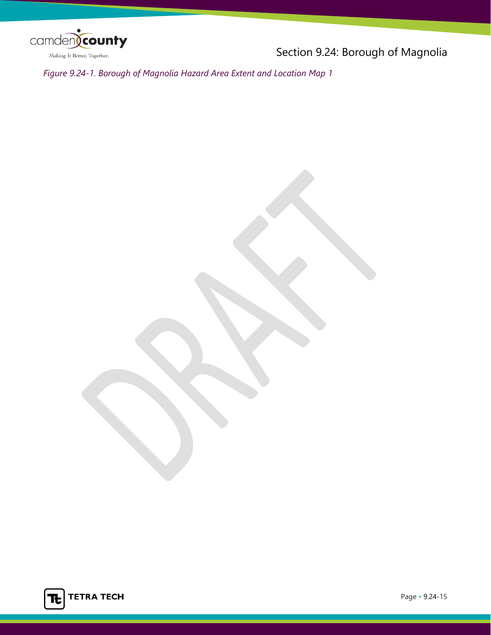

Section 9.24: Borough of Magnolia

*Figure 9.24-1. Borough of Magnolia Hazard Area Extent and Location Map 1*

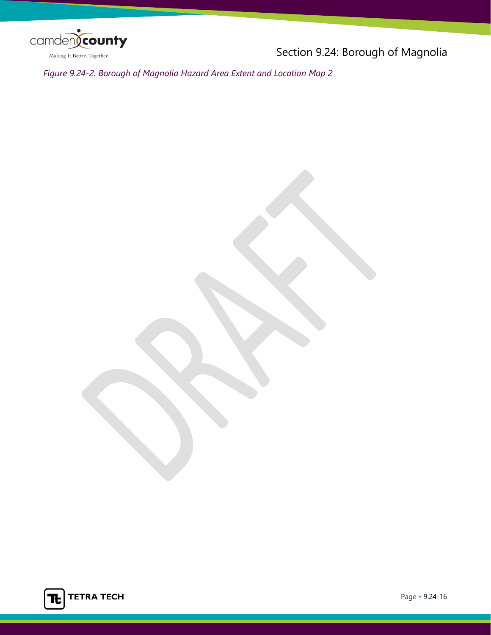

Section 9.24: Borough of Magnolia

*Figure 9.24-2. Borough of Magnolia Hazard Area Extent and Location Map 2*

**TETRA TECH** Tt I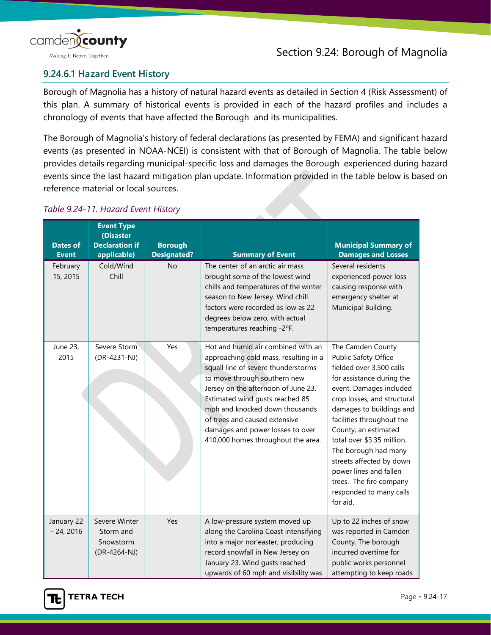

## **9.24.6.1 Hazard Event History**

Borough of Magnolia has a history of natural hazard events as detailed in Section 4 (Risk Assessment) of this plan. A summary of historical events is provided in each of the hazard profiles and includes a chronology of events that have affected the Borough and its municipalities.

The Borough of Magnolia's history of federal declarations (as presented by FEMA) and significant hazard events (as presented in NOAA-NCEI) is consistent with that of Borough of Magnolia. The table below provides details regarding municipal-specific loss and damages the Borough experienced during hazard events since the last hazard mitigation plan update. Information provided in the table below is based on reference material or local sources.

#### *Table 9.24-11. Hazard Event History*

| <b>Dates of</b><br><b>Event</b> | <b>Event Type</b><br>(Disaster<br><b>Declaration if</b><br>applicable) | <b>Borough</b><br><b>Designated?</b> | <b>Summary of Event</b>                                                                                                                                                                                                                                                                                                                                                   | <b>Municipal Summary of</b><br><b>Damages and Losses</b>                                                                                                                                                                                                                                                                                                                                                                    |
|---------------------------------|------------------------------------------------------------------------|--------------------------------------|---------------------------------------------------------------------------------------------------------------------------------------------------------------------------------------------------------------------------------------------------------------------------------------------------------------------------------------------------------------------------|-----------------------------------------------------------------------------------------------------------------------------------------------------------------------------------------------------------------------------------------------------------------------------------------------------------------------------------------------------------------------------------------------------------------------------|
| February<br>15, 2015            | Cold/Wind<br>Chill                                                     | <b>No</b>                            | The center of an arctic air mass<br>brought some of the lowest wind<br>chills and temperatures of the winter<br>season to New Jersey. Wind chill<br>factors were recorded as low as 22<br>degrees below zero, with actual<br>temperatures reaching -2°F.                                                                                                                  | Several residents<br>experienced power loss<br>causing response with<br>emergency shelter at<br>Municipal Building.                                                                                                                                                                                                                                                                                                         |
| June 23,<br>2015                | Severe Storm<br>(DR-4231-NJ)                                           | Yes                                  | Hot and humid air combined with an<br>approaching cold mass, resulting in a<br>squall line of severe thunderstorms<br>to move through southern new<br>Jersey on the afternoon of June 23.<br>Estimated wind gusts reached 85<br>mph and knocked down thousands<br>of trees and caused extensive<br>damages and power losses to over<br>410,000 homes throughout the area. | The Camden County<br>Public Safety Office<br>fielded over 3,500 calls<br>for assistance during the<br>event. Damages included<br>crop losses, and structural<br>damages to buildings and<br>facilities throughout the<br>County, an estimated<br>total over \$3.35 million.<br>The borough had many<br>streets affected by down<br>power lines and fallen<br>trees. The fire company<br>responded to many calls<br>for aid. |
| January 22<br>$-24, 2016$       | Severe Winter<br>Storm and<br>Snowstorm<br>(DR-4264-NJ)                | Yes                                  | A low-pressure system moved up<br>along the Carolina Coast intensifying<br>into a major nor'easter, producing<br>record snowfall in New Jersey on<br>January 23. Wind gusts reached<br>upwards of 60 mph and visibility was                                                                                                                                               | Up to 22 inches of snow<br>was reported in Camden<br>County. The borough<br>incurred overtime for<br>public works personnel<br>attempting to keep roads                                                                                                                                                                                                                                                                     |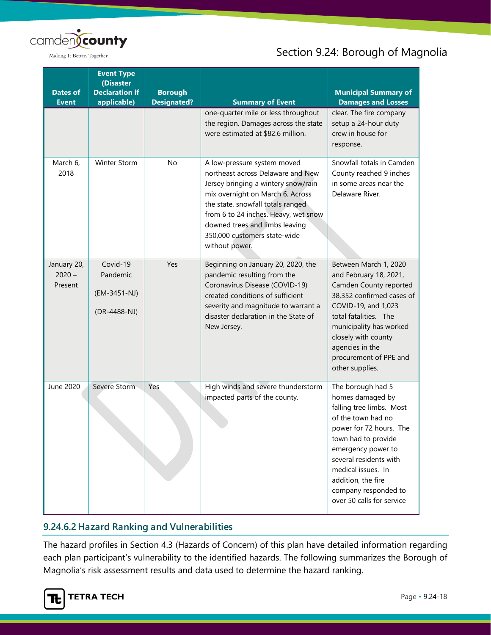

## Section 9.24: Borough of Magnolia

| <b>Dates of</b><br><b>Event</b>    | <b>Event Type</b><br>(Disaster<br><b>Declaration if</b><br>applicable) | <b>Borough</b><br><b>Designated?</b> | <b>Summary of Event</b>                                                                                                                                                                                                                                                                                      | <b>Municipal Summary of</b><br><b>Damages and Losses</b>                                                                                                                                                                                                                                   |
|------------------------------------|------------------------------------------------------------------------|--------------------------------------|--------------------------------------------------------------------------------------------------------------------------------------------------------------------------------------------------------------------------------------------------------------------------------------------------------------|--------------------------------------------------------------------------------------------------------------------------------------------------------------------------------------------------------------------------------------------------------------------------------------------|
|                                    |                                                                        |                                      | one-quarter mile or less throughout<br>the region. Damages across the state<br>were estimated at \$82.6 million.                                                                                                                                                                                             | clear. The fire company<br>setup a 24-hour duty<br>crew in house for<br>response.                                                                                                                                                                                                          |
| March 6,<br>2018                   | Winter Storm                                                           | <b>No</b>                            | A low-pressure system moved<br>northeast across Delaware and New<br>Jersey bringing a wintery snow/rain<br>mix overnight on March 6. Across<br>the state, snowfall totals ranged<br>from 6 to 24 inches. Heavy, wet snow<br>downed trees and limbs leaving<br>350,000 customers state-wide<br>without power. | Snowfall totals in Camden<br>County reached 9 inches<br>in some areas near the<br>Delaware River.                                                                                                                                                                                          |
| January 20,<br>$2020 -$<br>Present | Covid-19<br>Pandemic<br>(EM-3451-NJ)<br>(DR-4488-NJ)                   | Yes                                  | Beginning on January 20, 2020, the<br>pandemic resulting from the<br>Coronavirus Disease (COVID-19)<br>created conditions of sufficient<br>severity and magnitude to warrant a<br>disaster declaration in the State of<br>New Jersey.                                                                        | Between March 1, 2020<br>and February 18, 2021,<br>Camden County reported<br>38,352 confirmed cases of<br>COVID-19, and 1,023<br>total fatalities. The<br>municipality has worked<br>closely with county<br>agencies in the<br>procurement of PPE and<br>other supplies.                   |
| June 2020                          | Severe Storm                                                           | Yes                                  | High winds and severe thunderstorm<br>impacted parts of the county.                                                                                                                                                                                                                                          | The borough had 5<br>homes damaged by<br>falling tree limbs. Most<br>of the town had no<br>power for 72 hours. The<br>town had to provide<br>emergency power to<br>several residents with<br>medical issues. In<br>addition, the fire<br>company responded to<br>over 50 calls for service |

## **9.24.6.2 Hazard Ranking and Vulnerabilities**

The hazard profiles in Section 4.3 (Hazards of Concern) of this plan have detailed information regarding each plan participant's vulnerability to the identified hazards. The following summarizes the Borough of Magnolia's risk assessment results and data used to determine the hazard ranking.

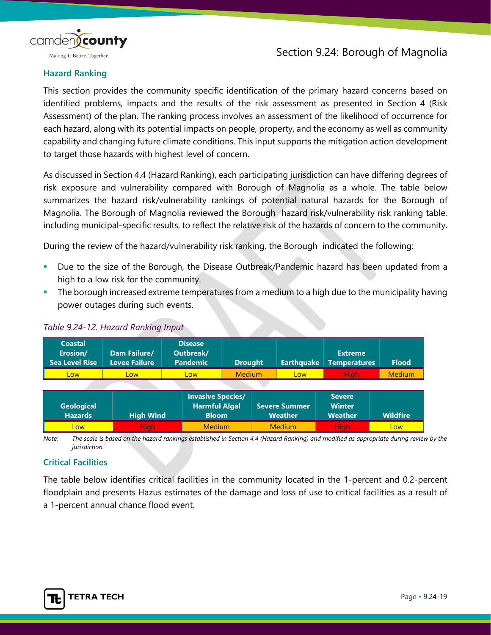

#### **Hazard Ranking**

This section provides the community specific identification of the primary hazard concerns based on identified problems, impacts and the results of the risk assessment as presented in Section 4 (Risk Assessment) of the plan. The ranking process involves an assessment of the likelihood of occurrence for each hazard, along with its potential impacts on people, property, and the economy as well as community capability and changing future climate conditions. This input supports the mitigation action development to target those hazards with highest level of concern.

As discussed in Section 4.4 (Hazard Ranking), each participating jurisdiction can have differing degrees of risk exposure and vulnerability compared with Borough of Magnolia as a whole. The table below summarizes the hazard risk/vulnerability rankings of potential natural hazards for the Borough of Magnolia. The Borough of Magnolia reviewed the Borough hazard risk/vulnerability risk ranking table, including municipal-specific results, to reflect the relative risk of the hazards of concern to the community.

During the review of the hazard/vulnerability risk ranking, the Borough indicated the following:

- Due to the size of the Borough, the Disease Outbreak/Pandemic hazard has been updated from a high to a low risk for the community.
- The borough increased extreme temperatures from a medium to a high due to the municipality having power outages during such events.

| <b>Coastal</b><br>Erosion/<br><b>Sea Level Rise</b> | Dam Failure/<br>Levee Failure | <b>Disease</b><br>Outbreak/<br><b>Pandemic</b>                   | <b>Drought</b> | <b>Earthquake</b>                      | <b>Extreme</b><br><b>Temperatures</b>            | <b>Flood</b>    |
|-----------------------------------------------------|-------------------------------|------------------------------------------------------------------|----------------|----------------------------------------|--------------------------------------------------|-----------------|
| <b>Low</b>                                          | Low                           | Low                                                              | <b>Medium</b>  | Low                                    | <b>High</b>                                      | <b>Medium</b>   |
|                                                     |                               |                                                                  |                |                                        |                                                  |                 |
| <b>Geological</b><br><b>Hazards</b>                 | <b>High Wind</b>              | <b>Invasive Species/</b><br><b>Harmful Algal</b><br><b>Bloom</b> |                | <b>Severe Summer</b><br><b>Weather</b> | <b>Severe</b><br><b>Winter</b><br><b>Weather</b> | <b>Wildfire</b> |
| Low                                                 | <b>High</b>                   | <b>Medium</b>                                                    |                | <b>Medium</b>                          | <b>High</b>                                      | Low             |

#### *Table 9.24-12. Hazard Ranking Input*

*Note: The scale is based on the hazard rankings established in Section 4.4 (Hazard Ranking) and modified as appropriate during review by the jurisdiction.*

#### **Critical Facilities**

The table below identifies critical facilities in the community located in the 1-percent and 0.2-percent floodplain and presents Hazus estimates of the damage and loss of use to critical facilities as a result of a 1-percent annual chance flood event.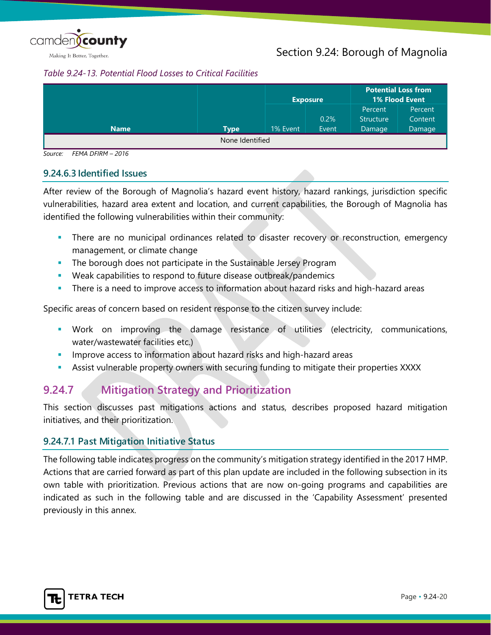

#### *Table 9.24-13. Potential Flood Losses to Critical Facilities*

|             |                 |          | <b>Exposure</b> |                  | <b>Potential Loss from</b><br>1% Flood Event |
|-------------|-----------------|----------|-----------------|------------------|----------------------------------------------|
|             |                 |          |                 | Percent          | Percent                                      |
|             |                 |          | 0.2%            | <b>Structure</b> | Content                                      |
| <b>Name</b> | <b>Type</b>     | 1% Event | Event           | Damage           | Damage                                       |
|             | None Identified |          |                 |                  |                                              |

*Source: FEMA DFIRM – 2016* 

#### **9.24.6.3 Identified Issues**

After review of the Borough of Magnolia's hazard event history, hazard rankings, jurisdiction specific vulnerabilities, hazard area extent and location, and current capabilities, the Borough of Magnolia has identified the following vulnerabilities within their community:

- **There are no municipal ordinances related to disaster recovery or reconstruction, emergency** management, or climate change
- **The borough does not participate in the Sustainable Jersey Program**
- Weak capabilities to respond to future disease outbreak/pandemics
- There is a need to improve access to information about hazard risks and high-hazard areas

Specific areas of concern based on resident response to the citizen survey include:

- Work on improving the damage resistance of utilities (electricity, communications, water/wastewater facilities etc.)
- Improve access to information about hazard risks and high-hazard areas
- Assist vulnerable property owners with securing funding to mitigate their properties XXXX

## **9.24.7 Mitigation Strategy and Prioritization**

This section discusses past mitigations actions and status, describes proposed hazard mitigation initiatives, and their prioritization.

#### **9.24.7.1 Past Mitigation Initiative Status**

The following table indicates progress on the community's mitigation strategy identified in the 2017 HMP. Actions that are carried forward as part of this plan update are included in the following subsection in its own table with prioritization. Previous actions that are now on-going programs and capabilities are indicated as such in the following table and are discussed in the 'Capability Assessment' presented previously in this annex.

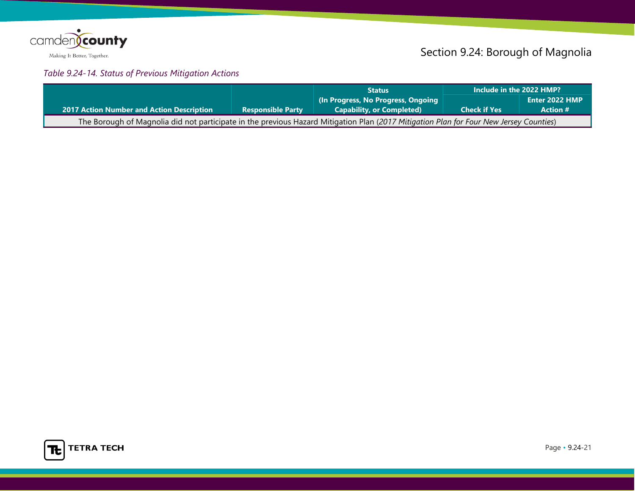

# Section 9.24: Borough of Magnolia

## *Table 9.24-14. Status of Previous Mitigation Actions*

|                                                                                                                                        |                          | <b>Status</b>                       | Include in the 2022 HMP? |                 |
|----------------------------------------------------------------------------------------------------------------------------------------|--------------------------|-------------------------------------|--------------------------|-----------------|
|                                                                                                                                        |                          | (In Progress, No Progress, Ongoing) |                          | Enter 2022 HMP  |
| <b>2017 Action Number and Action Description</b>                                                                                       | <b>Responsible Party</b> | <b>Capability, or Completed)</b>    | <b>Check if Yes</b>      | <b>Action #</b> |
| The Borough of Magnolia did not participate in the previous Hazard Mitigation Plan (2017 Mitigation Plan for Four New Jersey Counties) |                          |                                     |                          |                 |

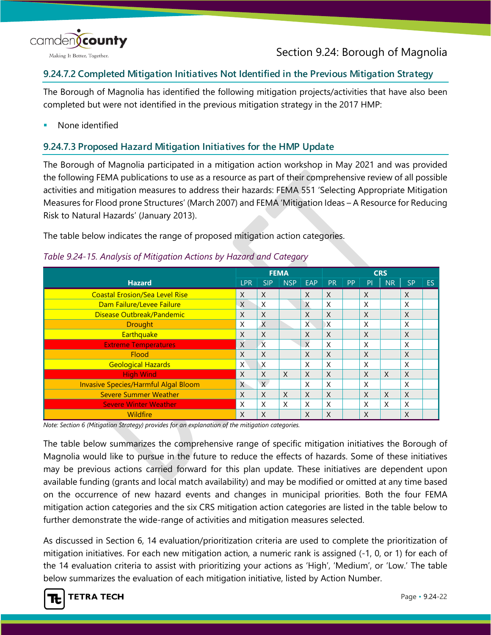

## **9.24.7.2 Completed Mitigation Initiatives Not Identified in the Previous Mitigation Strategy**

The Borough of Magnolia has identified the following mitigation projects/activities that have also been completed but were not identified in the previous mitigation strategy in the 2017 HMP:

None identified

### **9.24.7.3 Proposed Hazard Mitigation Initiatives for the HMP Update**

The Borough of Magnolia participated in a mitigation action workshop in May 2021 and was provided the following FEMA publications to use as a resource as part of their comprehensive review of all possible activities and mitigation measures to address their hazards: FEMA 551 'Selecting Appropriate Mitigation Measures for Flood prone Structures' (March 2007) and FEMA 'Mitigation Ideas – A Resource for Reducing Risk to Natural Hazards' (January 2013).

The table below indicates the range of proposed mitigation action categories.

|                                             |              |                | <b>FEMA</b>  |                           |           |           |    | <b>CRS</b>   |                           |           |
|---------------------------------------------|--------------|----------------|--------------|---------------------------|-----------|-----------|----|--------------|---------------------------|-----------|
| <b>Hazard</b>                               | <b>LPR</b>   | <b>SIP</b>     | <b>NSP</b>   | EAP                       | <b>PR</b> | <b>PP</b> | PI | <b>NR</b>    | <b>SP</b>                 | <b>ES</b> |
| <b>Coastal Erosion/Sea Level Rise</b>       | X            | X              |              | X                         | X         |           | X  |              | $\times$                  |           |
| Dam Failure/Levee Failure                   | X            | X              |              | X                         | X         |           | X  |              | X                         |           |
| Disease Outbreak/Pandemic                   | X            | X              |              | X                         | X         |           | X  |              | $\times$                  |           |
| <b>Drought</b>                              | X            | $\overline{X}$ |              | X                         | X         |           | X  |              | X                         |           |
| <b>Earthquake</b>                           | X            | X              |              | X                         | X         |           | X  |              | $\times$                  |           |
| <b>Extreme Temperatures</b>                 | X            | $\overline{X}$ |              | $\boldsymbol{\mathsf{X}}$ | X         |           | X  |              | X                         |           |
| Flood                                       | X            | X              |              | X                         | X         |           | X  |              | $\times$                  |           |
| <b>Geological Hazards</b>                   | X            | $\sf X$        |              | X                         | X         |           | X  |              | X                         |           |
| <b>High Wind</b>                            | X            | X              | $\mathsf{X}$ | X                         | X         |           | X  | $\mathsf{X}$ | $\mathsf{X}$              |           |
| <b>Invasive Species/Harmful Algal Bloom</b> | $\mathsf{X}$ | $\chi$         |              | X                         | X         |           | X  |              | X                         |           |
| <b>Severe Summer Weather</b>                | X            | X              | $\times$     | $\mathsf{X}$              | X         |           | X  | X            | $\boldsymbol{\mathsf{X}}$ |           |
| <b>Severe Winter Weather</b>                | X            | X              | $\times$     | $\mathsf{x}$              | X         |           | X  | X            | $\times$                  |           |
| Wildfire                                    | X            | X              |              | X                         | X         |           | X  |              | $\times$                  |           |

#### *Table 9.24-15. Analysis of Mitigation Actions by Hazard and Category*

*Note: Section 6 (Mitigation Strategy) provides for an explanation of the mitigation categories.*

The table below summarizes the comprehensive range of specific mitigation initiatives the Borough of Magnolia would like to pursue in the future to reduce the effects of hazards. Some of these initiatives may be previous actions carried forward for this plan update. These initiatives are dependent upon available funding (grants and local match availability) and may be modified or omitted at any time based on the occurrence of new hazard events and changes in municipal priorities. Both the four FEMA mitigation action categories and the six CRS mitigation action categories are listed in the table below to further demonstrate the wide-range of activities and mitigation measures selected.

As discussed in Section 6, 14 evaluation/prioritization criteria are used to complete the prioritization of mitigation initiatives. For each new mitigation action, a numeric rank is assigned (-1, 0, or 1) for each of the 14 evaluation criteria to assist with prioritizing your actions as 'High', 'Medium', or 'Low.' The table below summarizes the evaluation of each mitigation initiative, listed by Action Number.

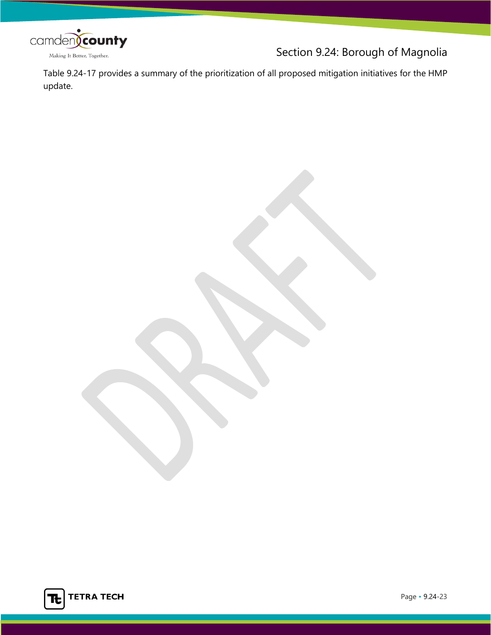

Section 9.24: Borough of Magnolia

Table 9.24-17 provides a summary of the prioritization of all proposed mitigation initiatives for the HMP update.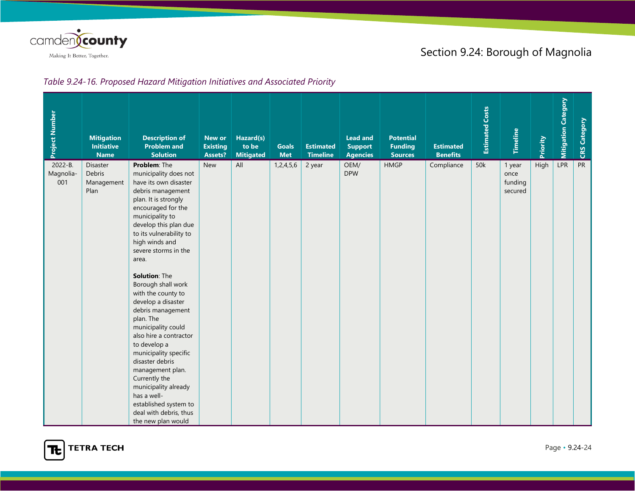

## Section 9.24: Borough of Magnolia

#### *Table 9.24-16. Proposed Hazard Mitigation Initiatives and Associated Priority*

| Project Number              | <b>Mitigation</b><br><b>Initiative</b><br><b>Name</b> | <b>Description of</b><br><b>Problem and</b><br><b>Solution</b>                                                                                                                                                                                                                                                                                                                                                                                                                                                                                                                                                                                           | New or<br><b>Existing</b><br>Assets? | Hazard(s)<br>to be<br><b>Mitigated</b> | <b>Goals</b><br><b>Met</b> | <b>Estimated</b><br><b>Timeline</b> | <b>Lead and</b><br><b>Support</b><br><b>Agencies</b> | <b>Potential</b><br><b>Funding</b><br><b>Sources</b> | <b>Estimated</b><br><b>Benefits</b> | <b>Estimated Costs</b> | <b>Timeline</b>                      | Priority | <b>Mitigation Category</b> | <b>CRS Category</b> |
|-----------------------------|-------------------------------------------------------|----------------------------------------------------------------------------------------------------------------------------------------------------------------------------------------------------------------------------------------------------------------------------------------------------------------------------------------------------------------------------------------------------------------------------------------------------------------------------------------------------------------------------------------------------------------------------------------------------------------------------------------------------------|--------------------------------------|----------------------------------------|----------------------------|-------------------------------------|------------------------------------------------------|------------------------------------------------------|-------------------------------------|------------------------|--------------------------------------|----------|----------------------------|---------------------|
| 2022-B.<br>Magnolia-<br>001 | <b>Disaster</b><br>Debris<br>Management<br>Plan       | Problem: The<br>municipality does not<br>have its own disaster<br>debris management<br>plan. It is strongly<br>encouraged for the<br>municipality to<br>develop this plan due<br>to its vulnerability to<br>high winds and<br>severe storms in the<br>area.<br><b>Solution: The</b><br>Borough shall work<br>with the county to<br>develop a disaster<br>debris management<br>plan. The<br>municipality could<br>also hire a contractor<br>to develop a<br>municipality specific<br>disaster debris<br>management plan.<br>Currently the<br>municipality already<br>has a well-<br>established system to<br>deal with debris, thus<br>the new plan would | <b>New</b>                           | All                                    | 1, 2, 4, 5, 6              | 2 year                              | OEM/<br><b>DPW</b>                                   | <b>HMGP</b>                                          | Compliance                          | <b>50k</b>             | 1 year<br>once<br>funding<br>secured | High     | LPR                        | PR                  |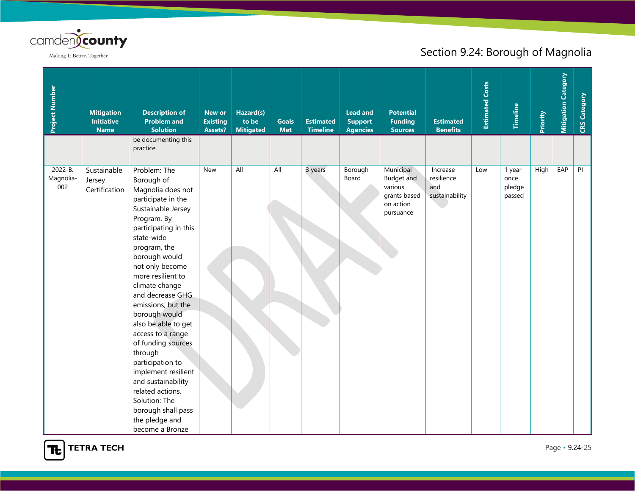

| Project Number              | <b>Mitigation</b><br><b>Initiative</b><br><b>Name</b> | <b>Description of</b><br><b>Problem and</b><br><b>Solution</b><br>be documenting this                                                                                                                                                                                                                                                                                                                                                                                                                                                                 | <b>New or</b><br><b>Existing</b><br><b>Assets?</b> | Hazard(s)<br>to be<br><b>Mitigated</b> | <b>Goals</b><br><b>Met</b> | <b>Estimated</b><br><b>Timeline</b> | <b>Lead and</b><br><b>Support</b><br><b>Agencies</b> | <b>Potential</b><br><b>Funding</b><br><b>Sources</b>                                | <b>Estimated</b><br><b>Benefits</b>             | <b>Estimated Costs</b> | <b>Timeline</b>                    | Priority | <b>Mitigation Category</b> | <b>CRS Category</b> |
|-----------------------------|-------------------------------------------------------|-------------------------------------------------------------------------------------------------------------------------------------------------------------------------------------------------------------------------------------------------------------------------------------------------------------------------------------------------------------------------------------------------------------------------------------------------------------------------------------------------------------------------------------------------------|----------------------------------------------------|----------------------------------------|----------------------------|-------------------------------------|------------------------------------------------------|-------------------------------------------------------------------------------------|-------------------------------------------------|------------------------|------------------------------------|----------|----------------------------|---------------------|
|                             |                                                       | practice.                                                                                                                                                                                                                                                                                                                                                                                                                                                                                                                                             |                                                    |                                        |                            |                                     |                                                      |                                                                                     |                                                 |                        |                                    |          |                            |                     |
| 2022-B.<br>Magnolia-<br>002 | Sustainable<br>Jersey<br>Certification                | Problem: The<br>Borough of<br>Magnolia does not<br>participate in the<br>Sustainable Jersey<br>Program. By<br>participating in this<br>state-wide<br>program, the<br>borough would<br>not only become<br>more resilient to<br>climate change<br>and decrease GHG<br>emissions, but the<br>borough would<br>also be able to get<br>access to a range<br>of funding sources<br>through<br>participation to<br>implement resilient<br>and sustainability<br>related actions.<br>Solution: The<br>borough shall pass<br>the pledge and<br>become a Bronze | <b>New</b>                                         | All                                    | All                        | 3 years                             | Borough<br>Board                                     | Municipal<br><b>Budget and</b><br>various<br>grants based<br>on action<br>pursuance | Increase<br>resilience<br>and<br>sustainability | Low                    | 1 year<br>once<br>pledge<br>passed | High     | EAP                        | PI                  |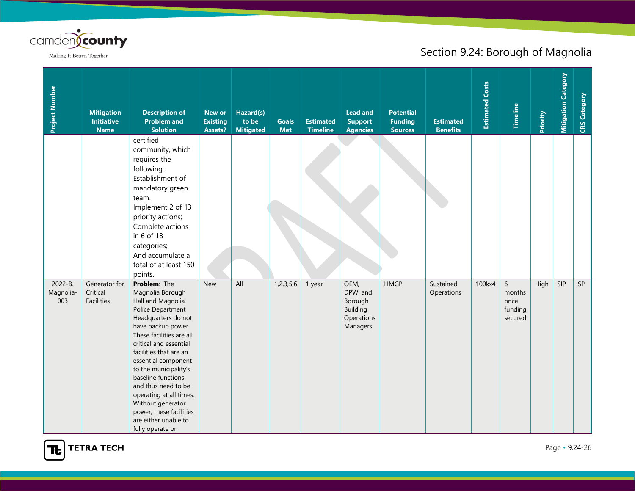

| Project Number              | <b>Mitigation</b><br><b>Initiative</b><br><b>Name</b> | <b>Description of</b><br><b>Problem and</b><br><b>Solution</b>                                                                                                                                                                                                                                                                                                                                                              | <b>New or</b><br><b>Existing</b><br>Assets? | Hazard(s)<br>to be<br><b>Mitigated</b> | <b>Goals</b><br><b>Met</b> | <b>Estimated</b><br><b>Timeline</b> | <b>Lead and</b><br><b>Support</b><br><b>Agencies</b>                     | <b>Potential</b><br><b>Funding</b><br><b>Sources</b> | <b>Estimated</b><br><b>Benefits</b> | <b>Estimated Costs</b> | Timeline                                      | Priority | <b>Mitigation Category</b> | <b>CRS Category</b> |
|-----------------------------|-------------------------------------------------------|-----------------------------------------------------------------------------------------------------------------------------------------------------------------------------------------------------------------------------------------------------------------------------------------------------------------------------------------------------------------------------------------------------------------------------|---------------------------------------------|----------------------------------------|----------------------------|-------------------------------------|--------------------------------------------------------------------------|------------------------------------------------------|-------------------------------------|------------------------|-----------------------------------------------|----------|----------------------------|---------------------|
|                             |                                                       | certified<br>community, which<br>requires the<br>following:<br>Establishment of<br>mandatory green<br>team.<br>Implement 2 of 13<br>priority actions;<br>Complete actions<br>in 6 of 18<br>categories;<br>And accumulate a<br>total of at least 150<br>points.                                                                                                                                                              |                                             |                                        |                            |                                     |                                                                          |                                                      |                                     |                        |                                               |          |                            |                     |
| 2022-B.<br>Magnolia-<br>003 | Generator for<br>Critical<br>Facilities               | Problem: The<br>Magnolia Borough<br>Hall and Magnolia<br>Police Department<br>Headquarters do not<br>have backup power.<br>These facilities are all<br>critical and essential<br>facilities that are an<br>essential component<br>to the municipality's<br>baseline functions<br>and thus need to be<br>operating at all times.<br>Without generator<br>power, these facilities<br>are either unable to<br>fully operate or | <b>New</b>                                  | All                                    | 1,2,3,5,6                  | 1 year                              | OEM,<br>DPW, and<br>Borough<br><b>Building</b><br>Operations<br>Managers | <b>HMGP</b>                                          | Sustained<br>Operations             | 100kx4                 | $6\,$<br>months<br>once<br>funding<br>secured | High     | SIP                        | SP                  |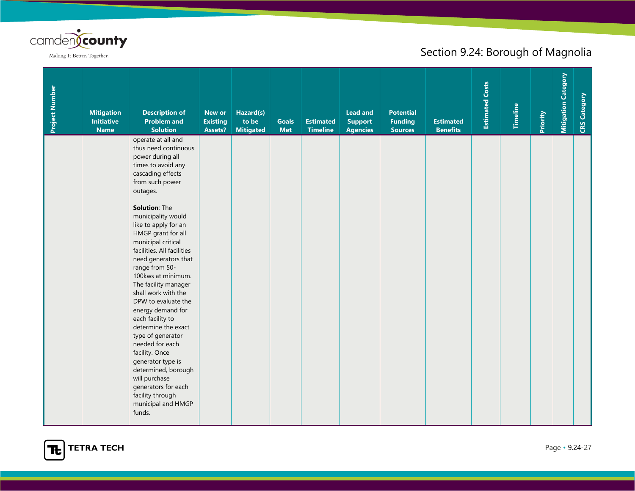

| Project Number | <b>Mitigation</b><br><b>Initiative</b><br><b>Name</b> | <b>Description of</b><br><b>Problem and</b><br><b>Solution</b>                                                                                                                                                                                                                                                                                                                                                                                                                                                                                                                                                                                                                            | <b>New or</b><br><b>Existing</b><br>Assets? | Hazard(s)<br>to be<br><b>Mitigated</b> | <b>Goals</b><br><b>Met</b> | <b>Estimated</b><br><b>Timeline</b> | <b>Lead and</b><br><b>Support</b><br><b>Agencies</b> | <b>Potential</b><br><b>Funding</b><br><b>Sources</b> | <b>Estimated</b><br><b>Benefits</b> | <b>Estimated Costs</b> | Timeline | Priority | <b>Mitigation Category</b> | <b>CRS Category</b> |
|----------------|-------------------------------------------------------|-------------------------------------------------------------------------------------------------------------------------------------------------------------------------------------------------------------------------------------------------------------------------------------------------------------------------------------------------------------------------------------------------------------------------------------------------------------------------------------------------------------------------------------------------------------------------------------------------------------------------------------------------------------------------------------------|---------------------------------------------|----------------------------------------|----------------------------|-------------------------------------|------------------------------------------------------|------------------------------------------------------|-------------------------------------|------------------------|----------|----------|----------------------------|---------------------|
|                |                                                       | operate at all and<br>thus need continuous<br>power during all<br>times to avoid any<br>cascading effects<br>from such power<br>outages.<br>Solution: The<br>municipality would<br>like to apply for an<br>HMGP grant for all<br>municipal critical<br>facilities. All facilities<br>need generators that<br>range from 50-<br>100kws at minimum.<br>The facility manager<br>shall work with the<br>DPW to evaluate the<br>energy demand for<br>each facility to<br>determine the exact<br>type of generator<br>needed for each<br>facility. Once<br>generator type is<br>determined, borough<br>will purchase<br>generators for each<br>facility through<br>municipal and HMGP<br>funds. |                                             |                                        |                            |                                     |                                                      |                                                      |                                     |                        |          |          |                            |                     |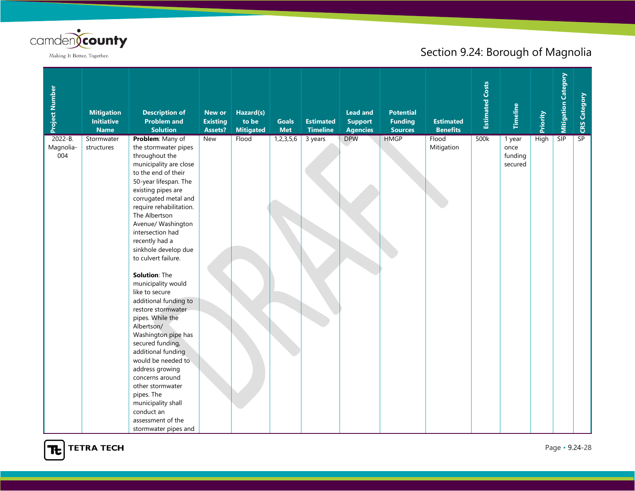

| Project Number                  | <b>Mitigation</b><br><b>Initiative</b><br><b>Name</b> | <b>Description of</b><br><b>Problem and</b><br><b>Solution</b>                                                                                                                                                                                                                                                                                                                                                                                                                                                                                                                                                                                                                                                                      | <b>New or</b><br><b>Existing</b><br>Assets? | Hazard(s)<br>to be<br><b>Mitigated</b> | <b>Goals</b><br><b>Met</b> | <b>Estimated</b><br><b>Timeline</b> | <b>Lead and</b><br><b>Support</b><br><b>Agencies</b> | <b>Potential</b><br><b>Funding</b><br><b>Sources</b> | <b>Estimated</b><br><b>Benefits</b> | <b>Estimated Costs</b> | <b>Timeline</b>                      | Priority    | <b>Mitigation Category</b> | CRS Category |
|---------------------------------|-------------------------------------------------------|-------------------------------------------------------------------------------------------------------------------------------------------------------------------------------------------------------------------------------------------------------------------------------------------------------------------------------------------------------------------------------------------------------------------------------------------------------------------------------------------------------------------------------------------------------------------------------------------------------------------------------------------------------------------------------------------------------------------------------------|---------------------------------------------|----------------------------------------|----------------------------|-------------------------------------|------------------------------------------------------|------------------------------------------------------|-------------------------------------|------------------------|--------------------------------------|-------------|----------------------------|--------------|
| $2022 - B.$<br>Magnolia-<br>004 | Stormwater<br>structures                              | Problem: Many of<br>the stormwater pipes<br>throughout the<br>municipality are close<br>to the end of their<br>50-year lifespan. The<br>existing pipes are<br>corrugated metal and<br>require rehabilitation.<br>The Albertson<br>Avenue/ Washington<br>intersection had<br>recently had a<br>sinkhole develop due<br>to culvert failure.<br>Solution: The<br>municipality would<br>like to secure<br>additional funding to<br>restore stormwater<br>pipes. While the<br>Albertson/<br>Washington pipe has<br>secured funding,<br>additional funding<br>would be needed to<br>address growing<br>concerns around<br>other stormwater<br>pipes. The<br>municipality shall<br>conduct an<br>assessment of the<br>stormwater pipes and | <b>New</b>                                  | Flood                                  | 1,2,3,5,6                  | 3 years                             | <b>DPW</b>                                           | <b>HMGP</b>                                          | Flood<br>Mitigation                 | 500k                   | 1 year<br>once<br>funding<br>secured | <b>High</b> | SIP                        | SP           |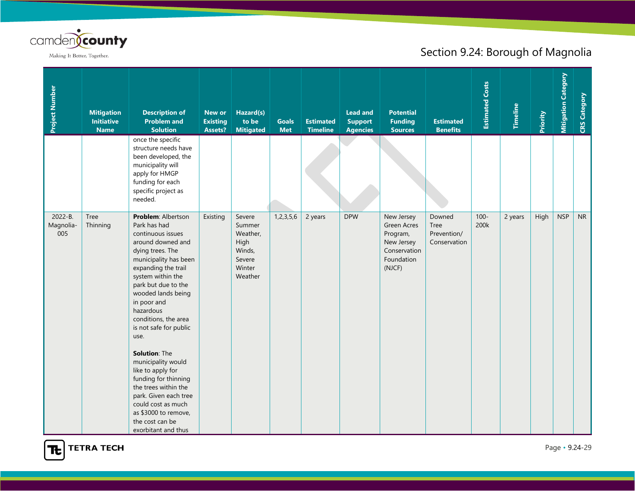

| Project Number              | <b>Mitigation</b><br><b>Initiative</b><br><b>Name</b> | <b>Description of</b><br><b>Problem and</b><br><b>Solution</b>                                                                                                                                                                                                                                                                                                                                                                                                                                                                        | New or<br><b>Existing</b><br><b>Assets?</b> | Hazard(s)<br>to be<br><b>Mitigated</b>                                        | <b>Goals</b><br><b>Met</b> | <b>Estimated</b><br><b>Timeline</b> | <b>Lead and</b><br><b>Support</b><br><b>Agencies</b> | <b>Potential</b><br><b>Funding</b><br><b>Sources</b>                                               | <b>Estimated</b><br><b>Benefits</b>           | <b>Estimated Costs</b> | Timeline | Priority | <b>Mitigation Category</b> | <b>CRS Category</b> |
|-----------------------------|-------------------------------------------------------|---------------------------------------------------------------------------------------------------------------------------------------------------------------------------------------------------------------------------------------------------------------------------------------------------------------------------------------------------------------------------------------------------------------------------------------------------------------------------------------------------------------------------------------|---------------------------------------------|-------------------------------------------------------------------------------|----------------------------|-------------------------------------|------------------------------------------------------|----------------------------------------------------------------------------------------------------|-----------------------------------------------|------------------------|----------|----------|----------------------------|---------------------|
|                             |                                                       | once the specific<br>structure needs have<br>been developed, the<br>municipality will<br>apply for HMGP<br>funding for each<br>specific project as<br>needed.                                                                                                                                                                                                                                                                                                                                                                         |                                             |                                                                               |                            |                                     |                                                      |                                                                                                    |                                               |                        |          |          |                            |                     |
| 2022-B.<br>Magnolia-<br>005 | <b>Tree</b><br>Thinning                               | Problem: Albertson<br>Park has had<br>continuous issues<br>around downed and<br>dying trees. The<br>municipality has been<br>expanding the trail<br>system within the<br>park but due to the<br>wooded lands being<br>in poor and<br>hazardous<br>conditions, the area<br>is not safe for public<br>use.<br>Solution: The<br>municipality would<br>like to apply for<br>funding for thinning<br>the trees within the<br>park. Given each tree<br>could cost as much<br>as \$3000 to remove,<br>the cost can be<br>exorbitant and thus | Existing                                    | Severe<br>Summer<br>Weather,<br>High<br>Winds,<br>Severe<br>Winter<br>Weather | 1, 2, 3, 5, 6              | 2 years                             | <b>DPW</b>                                           | New Jersey<br><b>Green Acres</b><br>Program,<br>New Jersey<br>Conservation<br>Foundation<br>(NJCF) | Downed<br>Tree<br>Prevention/<br>Conservation | $100 -$<br>200k        | 2 years  | High     | <b>NSP</b>                 | <b>NR</b>           |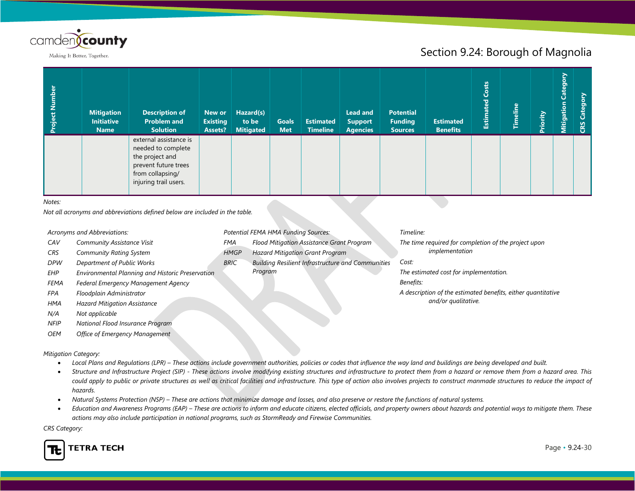

## Section 9.24: Borough of Magnolia

| <b>Mitigation</b><br><b>Initiative</b><br><b>Name</b> | <b>Description of</b><br><b>Problem and</b><br><b>Solution</b>                                                                       | New or<br><b>Existing</b><br>Assets? | Hazard(s)<br>to be<br><b>Mitigated</b> | <b>Goals</b><br><b>Met</b> | <b>Estimated</b><br><b>Timeline</b> | <b>Lead and</b><br><b>Support</b><br><b>Agencies</b> | <b>Potential</b><br><b>Funding</b><br><b>Sources</b> | <b>Estimated</b><br><b>Benefits</b> | Costs<br>Estimated | <b>Timeline</b> | Priority | Category<br>Mitigation | Catego<br>CRS |
|-------------------------------------------------------|--------------------------------------------------------------------------------------------------------------------------------------|--------------------------------------|----------------------------------------|----------------------------|-------------------------------------|------------------------------------------------------|------------------------------------------------------|-------------------------------------|--------------------|-----------------|----------|------------------------|---------------|
|                                                       | external assistance is<br>needed to complete<br>the project and<br>prevent future trees<br>from collapsing/<br>injuring trail users. |                                      |                                        |                            |                                     |                                                      |                                                      |                                     |                    |                 |          |                        |               |

#### *Notes:*

*Not all acronyms and abbreviations defined below are included in the table.*

- *CAV Community Assistance Visit*
- *CRS Community Rating System*
- *DPW Department of Public Works*
- *EHP Environmental Planning and Historic Preservation*
- *FEMA Federal Emergency Management Agency*
- *FPA Floodplain Administrator*
- *HMA Hazard Mitigation Assistance*
- *N/A Not applicable*
- *NFIP National Flood Insurance Program*
- *OEM Office of Emergency Management*

#### *Mitigation Category:*

- *Local Plans and Regulations (LPR) – These actions include government authorities, policies or codes that influence the way land and buildings are being developed and built.*
- *Structure and Infrastructure Project (SIP) - These actions involve modifying existing structures and infrastructure to protect them from a hazard or remove them from a hazard area. This could apply to public or private structures as well as critical facilities and infrastructure. This type of action also involves projects to construct manmade structures to reduce the impact of hazards.*
- *Natural Systems Protection (NSP) – These are actions that minimize damage and losses, and also preserve or restore the functions of natural systems.*
- *Education and Awareness Programs (EAP) – These are actions to inform and educate citizens, elected officials, and property owners about hazards and potential ways to mitigate them. These actions may also include participation in national programs, such as StormReady and Firewise Communities.*

*CRS Category:*



- *Acronyms and Abbreviations: Potential FEMA HMA Funding Sources: Timeline:*
	- *FMA Flood Mitigation Assistance Grant Program*
	- *HMGP Hazard Mitigation Grant Program*
	- *BRIC Building Resilient Infrastructure and Communities Program*

*The time required for completion of the project upon implementation*

*Cost:*

*The estimated cost for implementation.*

*Benefits:*

*A description of the estimated benefits, either quantitative and/or qualitative.*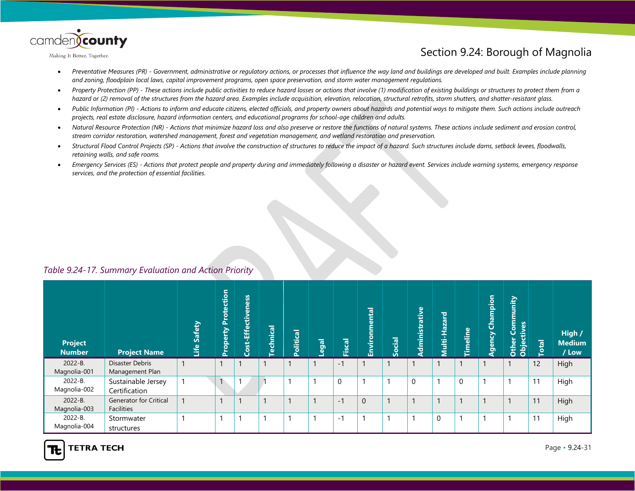

## Section 9.24: Borough of Magnolia

- *Preventative Measures (PR) - Government, administrative or regulatory actions, or processes that influence the way land and buildings are developed and built. Examples include planning and zoning, floodplain local laws, capital improvement programs, open space preservation, and storm water management regulations.*
- *Property Protection (PP) - These actions include public activities to reduce hazard losses or actions that involve (1) modification of existing buildings or structures to protect them from a hazard or (2) removal of the structures from the hazard area. Examples include acquisition, elevation, relocation, structural retrofits, storm shutters, and shatter-resistant glass.*
- *Public Information (PI) - Actions to inform and educate citizens, elected officials, and property owners about hazards and potential ways to mitigate them. Such actions include outreach projects, real estate disclosure, hazard information centers, and educational programs for school-age children and adults.*
- *Natural Resource Protection (NR) - Actions that minimize hazard loss and also preserve or restore the functions of natural systems. These actions include sediment and erosion control, stream corridor restoration, watershed management, forest and vegetation management, and wetland restoration and preservation.*
- *Structural Flood Control Projects (SP) - Actions that involve the construction of structures to reduce the impact of a hazard. Such structures include dams, setback levees, floodwalls, retaining walls, and safe rooms.*
- *Emergency Services (ES) - Actions that protect people and property during and immediately following a disaster or hazard event. Services include warning systems, emergency response services, and the protection of essential facilities.*

#### *Table 9.24-17. Summary Evaluation and Action Priority*

| <b>Project</b><br><b>Number</b> | <b>Project Name</b>                         | Safety<br>Life | <b>Property Protection</b> | Cost-Effectiveness | <b>Technical</b> | Political | Legal | Fiscal      | Environmental  | Social | Administrative | Multi-Hazard | <b>Timeline</b> | Champion<br>Agency | Community<br>Other Com<br>Objectives | <b>Total</b> | High /<br><b>Medium</b><br>/ Low |
|---------------------------------|---------------------------------------------|----------------|----------------------------|--------------------|------------------|-----------|-------|-------------|----------------|--------|----------------|--------------|-----------------|--------------------|--------------------------------------|--------------|----------------------------------|
| 2022-B.<br>Magnolia-001         | Disaster Debris<br>Management Plan          |                | $\mathbf{I}$               |                    |                  |           |       | $-1$        |                |        |                |              |                 |                    |                                      | 12           | High                             |
| 2022-B.<br>Magnolia-002         | Sustainable Jersey<br>Certification         |                | $\mathbf{1}$               |                    |                  |           |       | $\mathbf 0$ |                |        | $\mathbf 0$    |              | 0               |                    |                                      | 11           | High                             |
| 2022-B.<br>Magnolia-003         | <b>Generator for Critical</b><br>Facilities |                | $\mathbf{1}$               |                    |                  |           |       | $-1$        | $\overline{0}$ |        |                |              |                 |                    |                                      | 11           | High                             |
| 2022-B.<br>Magnolia-004         | Stormwater<br>structures                    |                | $\overline{\phantom{a}}$   |                    |                  |           |       | $-1$        |                |        | -1             | $\mathbf 0$  | ٠               |                    |                                      | 11           | High                             |

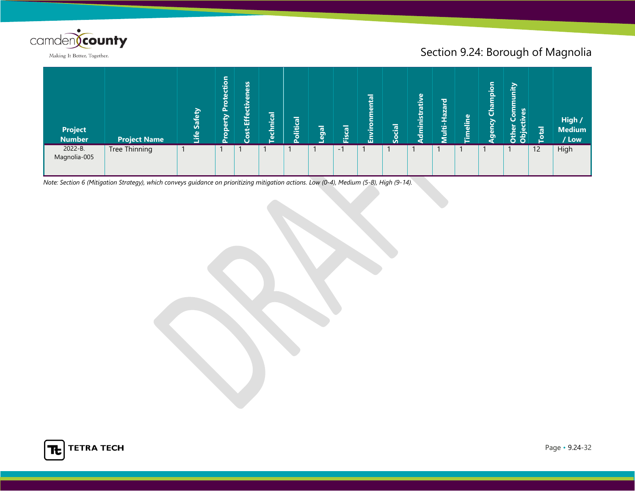

## Section 9.24: Borough of Magnolia

| <b>Project</b><br><b>Number</b> | <b>Project Name</b> | Safety<br>Life | tection<br>$\mathbf{r}$<br>oper<br>T-L | eness<br>$ \ddot{\vec{v}} $<br>寧<br>ت<br><b>SO</b> | chnical | Political | Legal | Fiscal | ental<br>⊨<br>Envir | <b>lai</b><br>ပိ | dministrativ | ਠ<br>-Hazai<br>Ë | <b>Timeline</b> | ipio<br>īg<br>ö<br>Qency | hunity<br>$\bullet$<br>රි රි | $\overline{\mathbf{e}}$<br>ō | High /<br><b>Medium</b><br>/ Low |
|---------------------------------|---------------------|----------------|----------------------------------------|----------------------------------------------------|---------|-----------|-------|--------|---------------------|------------------|--------------|------------------|-----------------|--------------------------|------------------------------|------------------------------|----------------------------------|
| 2022-B.<br>Magnolia-005         | Tree Thinning       |                |                                        |                                                    |         |           |       | $-1$   |                     |                  |              |                  |                 |                          |                              | 12                           | High                             |

*Note: Section 6 (Mitigation Strategy), which conveys guidance on prioritizing mitigation actions. Low (0-4), Medium (5-8), High (9-14).*

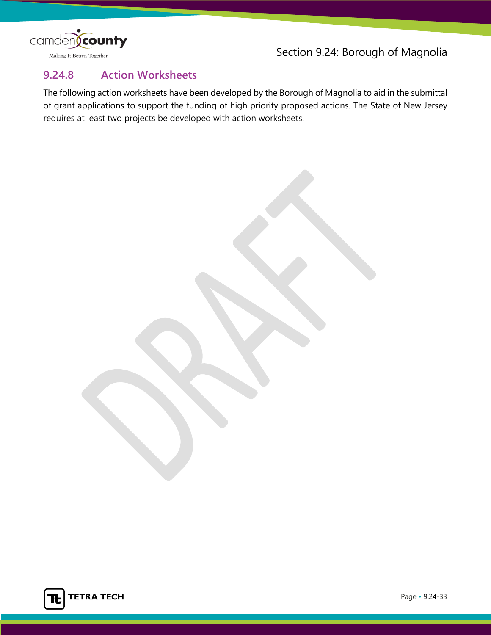

Section 9.24: Borough of Magnolia

## **9.24.8 Action Worksheets**

The following action worksheets have been developed by the Borough of Magnolia to aid in the submittal of grant applications to support the funding of high priority proposed actions. The State of New Jersey requires at least two projects be developed with action worksheets.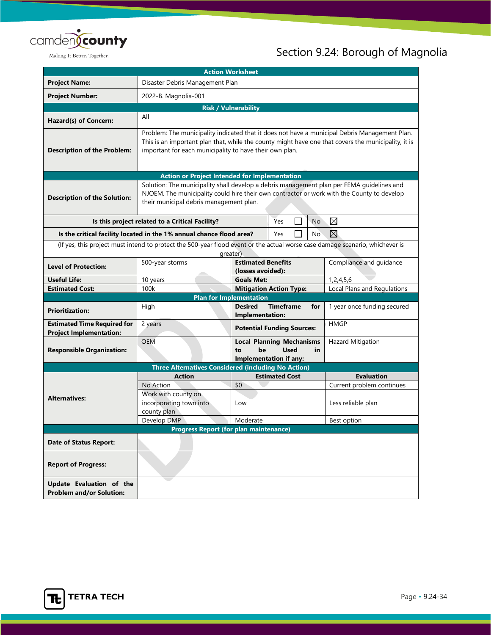

| <b>Action Worksheet</b>                                                                                                      |                                                                                                                                                                                                                                                                 |                                   |                                                                                  |             |                             |
|------------------------------------------------------------------------------------------------------------------------------|-----------------------------------------------------------------------------------------------------------------------------------------------------------------------------------------------------------------------------------------------------------------|-----------------------------------|----------------------------------------------------------------------------------|-------------|-----------------------------|
| <b>Project Name:</b>                                                                                                         | Disaster Debris Management Plan                                                                                                                                                                                                                                 |                                   |                                                                                  |             |                             |
| <b>Project Number:</b>                                                                                                       | 2022-B. Magnolia-001                                                                                                                                                                                                                                            |                                   |                                                                                  |             |                             |
|                                                                                                                              | <b>Risk / Vulnerability</b>                                                                                                                                                                                                                                     |                                   |                                                                                  |             |                             |
| Hazard(s) of Concern:                                                                                                        | All                                                                                                                                                                                                                                                             |                                   |                                                                                  |             |                             |
| <b>Description of the Problem:</b>                                                                                           | Problem: The municipality indicated that it does not have a municipal Debris Management Plan.<br>This is an important plan that, while the county might have one that covers the municipality, it is<br>important for each municipality to have their own plan. |                                   |                                                                                  |             |                             |
| <b>Action or Project Intended for Implementation</b>                                                                         |                                                                                                                                                                                                                                                                 |                                   |                                                                                  |             |                             |
| <b>Description of the Solution:</b>                                                                                          | Solution: The municipality shall develop a debris management plan per FEMA guidelines and<br>NJOEM. The municipality could hire their own contractor or work with the County to develop<br>their municipal debris management plan.                              |                                   |                                                                                  |             |                             |
|                                                                                                                              | Is this project related to a Critical Facility?                                                                                                                                                                                                                 |                                   | Yes                                                                              | No          | $\boxtimes$                 |
|                                                                                                                              | Is the critical facility located in the 1% annual chance flood area?                                                                                                                                                                                            |                                   | Yes                                                                              | No          | $\boxtimes$                 |
| (If yes, this project must intend to protect the 500-year flood event or the actual worse case damage scenario, whichever is |                                                                                                                                                                                                                                                                 |                                   |                                                                                  |             |                             |
|                                                                                                                              | greater)                                                                                                                                                                                                                                                        |                                   |                                                                                  |             |                             |
| <b>Level of Protection:</b>                                                                                                  | <b>Estimated Benefits</b><br>500-year storms<br>(losses avoided):                                                                                                                                                                                               |                                   | Compliance and guidance                                                          |             |                             |
| <b>Useful Life:</b>                                                                                                          | 10 years                                                                                                                                                                                                                                                        | <b>Goals Met:</b>                 |                                                                                  |             | 1, 2, 4, 5, 6               |
| <b>Estimated Cost:</b>                                                                                                       | <b>Mitigation Action Type:</b><br>100k                                                                                                                                                                                                                          |                                   | Local Plans and Regulations                                                      |             |                             |
|                                                                                                                              | <b>Plan for Implementation</b>                                                                                                                                                                                                                                  |                                   |                                                                                  |             |                             |
| <b>Prioritization:</b>                                                                                                       | High                                                                                                                                                                                                                                                            | <b>Desired</b><br>Implementation: | <b>Timeframe</b>                                                                 | for         | 1 year once funding secured |
| <b>Estimated Time Required for</b><br><b>Project Implementation:</b>                                                         | 2 years                                                                                                                                                                                                                                                         |                                   | <b>Potential Funding Sources:</b>                                                |             | <b>HMGP</b>                 |
| <b>Responsible Organization:</b>                                                                                             | <b>OEM</b>                                                                                                                                                                                                                                                      | be<br>to                          | <b>Local Planning Mechanisms</b><br><b>Used</b><br><b>Implementation if any:</b> | in          | Hazard Mitigation           |
|                                                                                                                              | <b>Three Alternatives Considered (including No Action)</b>                                                                                                                                                                                                      |                                   |                                                                                  |             |                             |
|                                                                                                                              | <b>Action</b>                                                                                                                                                                                                                                                   |                                   | <b>Estimated Cost</b>                                                            |             | <b>Evaluation</b>           |
|                                                                                                                              | No Action                                                                                                                                                                                                                                                       | \$0                               |                                                                                  |             | Current problem continues   |
|                                                                                                                              | Work with county on                                                                                                                                                                                                                                             |                                   |                                                                                  |             |                             |
| <b>Alternatives:</b>                                                                                                         | incorporating town into                                                                                                                                                                                                                                         | Low                               |                                                                                  |             | Less reliable plan          |
|                                                                                                                              | county plan                                                                                                                                                                                                                                                     |                                   |                                                                                  |             |                             |
|                                                                                                                              | Develop DMP                                                                                                                                                                                                                                                     | Moderate                          |                                                                                  | Best option |                             |
|                                                                                                                              | <b>Progress Report (for plan maintenance)</b>                                                                                                                                                                                                                   |                                   |                                                                                  |             |                             |
| <b>Date of Status Report:</b>                                                                                                |                                                                                                                                                                                                                                                                 |                                   |                                                                                  |             |                             |
| <b>Report of Progress:</b>                                                                                                   |                                                                                                                                                                                                                                                                 |                                   |                                                                                  |             |                             |
| Update Evaluation of the<br><b>Problem and/or Solution:</b>                                                                  |                                                                                                                                                                                                                                                                 |                                   |                                                                                  |             |                             |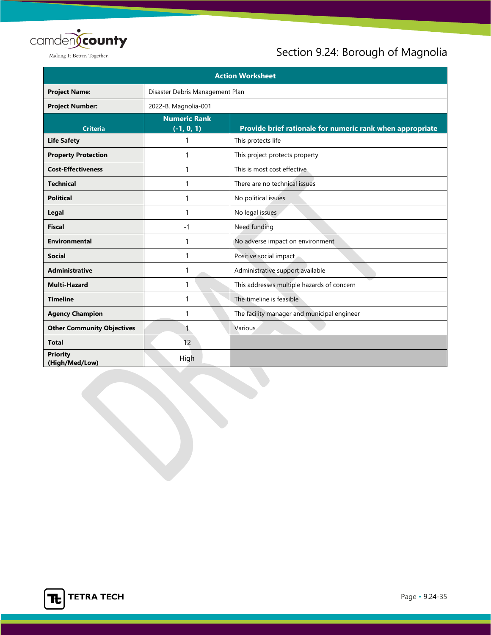

| <b>Action Worksheet</b>           |                                     |                                                           |  |
|-----------------------------------|-------------------------------------|-----------------------------------------------------------|--|
| <b>Project Name:</b>              | Disaster Debris Management Plan     |                                                           |  |
| <b>Project Number:</b>            | 2022-B. Magnolia-001                |                                                           |  |
| <b>Criteria</b>                   | <b>Numeric Rank</b><br>$(-1, 0, 1)$ | Provide brief rationale for numeric rank when appropriate |  |
| <b>Life Safety</b>                | 1                                   | This protects life                                        |  |
| <b>Property Protection</b>        | 1                                   | This project protects property                            |  |
| <b>Cost-Effectiveness</b>         | 1                                   | This is most cost effective                               |  |
| <b>Technical</b>                  | 1                                   | There are no technical issues                             |  |
| <b>Political</b>                  | 1                                   | No political issues                                       |  |
| Legal                             | 1                                   | No legal issues                                           |  |
| <b>Fiscal</b>                     | $-1$                                | Need funding                                              |  |
| <b>Environmental</b>              | 1                                   | No adverse impact on environment                          |  |
| <b>Social</b>                     | 1                                   | Positive social impact                                    |  |
| <b>Administrative</b>             | 1                                   | Administrative support available                          |  |
| <b>Multi-Hazard</b>               | 1                                   | This addresses multiple hazards of concern                |  |
| <b>Timeline</b>                   | 1                                   | The timeline is feasible                                  |  |
| <b>Agency Champion</b>            | 1                                   | The facility manager and municipal engineer               |  |
| <b>Other Community Objectives</b> | 1                                   | <b>Various</b>                                            |  |
| <b>Total</b>                      | 12                                  |                                                           |  |
| <b>Priority</b><br>(High/Med/Low) | High                                |                                                           |  |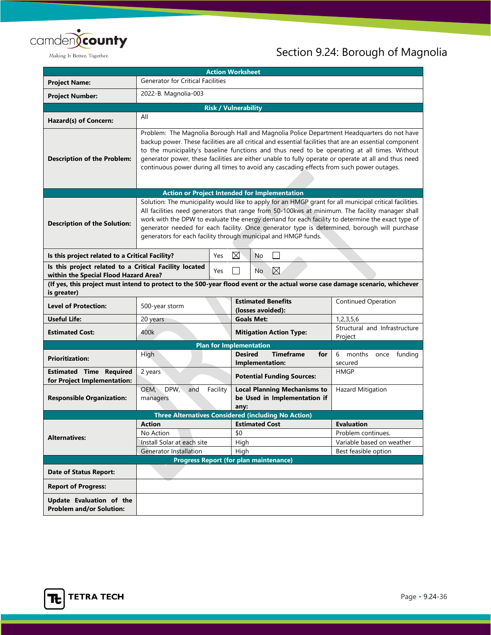

| <b>Action Worksheet</b>                                                                                                                     |                                                                                                                                                                                                                                                                                                                                                                                                                                                                                                             |                                |                                                                             |                                                              |                                                 |
|---------------------------------------------------------------------------------------------------------------------------------------------|-------------------------------------------------------------------------------------------------------------------------------------------------------------------------------------------------------------------------------------------------------------------------------------------------------------------------------------------------------------------------------------------------------------------------------------------------------------------------------------------------------------|--------------------------------|-----------------------------------------------------------------------------|--------------------------------------------------------------|-------------------------------------------------|
| <b>Project Name:</b>                                                                                                                        | <b>Generator for Critical Facilities</b>                                                                                                                                                                                                                                                                                                                                                                                                                                                                    |                                |                                                                             |                                                              |                                                 |
| <b>Project Number:</b>                                                                                                                      | 2022-B. Magnolia-003                                                                                                                                                                                                                                                                                                                                                                                                                                                                                        |                                |                                                                             |                                                              |                                                 |
|                                                                                                                                             |                                                                                                                                                                                                                                                                                                                                                                                                                                                                                                             | <b>Risk / Vulnerability</b>    |                                                                             |                                                              |                                                 |
| Hazard(s) of Concern:                                                                                                                       | All                                                                                                                                                                                                                                                                                                                                                                                                                                                                                                         |                                |                                                                             |                                                              |                                                 |
| <b>Description of the Problem:</b>                                                                                                          | Problem: The Magnolia Borough Hall and Magnolia Police Department Headquarters do not have<br>backup power. These facilities are all critical and essential facilities that are an essential component<br>to the municipality's baseline functions and thus need to be operating at all times. Without<br>generator power, these facilities are either unable to fully operate or operate at all and thus need<br>continuous power during all times to avoid any cascading effects from such power outages. |                                |                                                                             |                                                              |                                                 |
|                                                                                                                                             |                                                                                                                                                                                                                                                                                                                                                                                                                                                                                                             |                                |                                                                             | <b>Action or Project Intended for Implementation</b>         |                                                 |
| <b>Description of the Solution:</b>                                                                                                         | Solution: The municipality would like to apply for an HMGP grant for all municipal critical facilities.<br>All facilities need generators that range from 50-100kws at minimum. The facility manager shall<br>work with the DPW to evaluate the energy demand for each facility to determine the exact type of<br>generator needed for each facility. Once generator type is determined, borough will purchase<br>generators for each facility through municipal and HMGP funds.                            |                                |                                                                             |                                                              |                                                 |
| Is this project related to a Critical Facility?                                                                                             |                                                                                                                                                                                                                                                                                                                                                                                                                                                                                                             | Yes                            | ⊠                                                                           | No                                                           |                                                 |
| Is this project related to a Critical Facility located<br>⊠<br>Yes<br>No<br>within the Special Flood Hazard Area?                           |                                                                                                                                                                                                                                                                                                                                                                                                                                                                                                             |                                |                                                                             |                                                              |                                                 |
| (If yes, this project must intend to protect to the 500-year flood event or the actual worse case damage scenario, whichever<br>is greater) |                                                                                                                                                                                                                                                                                                                                                                                                                                                                                                             |                                |                                                                             |                                                              |                                                 |
| <b>Level of Protection:</b>                                                                                                                 | 500-year storm                                                                                                                                                                                                                                                                                                                                                                                                                                                                                              |                                | <b>Estimated Benefits</b><br>(losses avoided):                              |                                                              | <b>Continued Operation</b>                      |
| <b>Useful Life:</b>                                                                                                                         | 20 years                                                                                                                                                                                                                                                                                                                                                                                                                                                                                                    | <b>Goals Met:</b>              |                                                                             |                                                              | 1,2,3,5,6                                       |
| <b>Estimated Cost:</b>                                                                                                                      | 400k                                                                                                                                                                                                                                                                                                                                                                                                                                                                                                        |                                |                                                                             | <b>Mitigation Action Type:</b>                               | Structural and Infrastructure<br>Project        |
|                                                                                                                                             |                                                                                                                                                                                                                                                                                                                                                                                                                                                                                                             | <b>Plan for Implementation</b> |                                                                             |                                                              |                                                 |
| <b>Prioritization:</b>                                                                                                                      | High                                                                                                                                                                                                                                                                                                                                                                                                                                                                                                        |                                |                                                                             | <b>Timeframe</b><br><b>Desired</b><br>for<br>Implementation: | 6<br>months once funding<br>secured             |
| <b>Estimated Time Required</b><br>for Project Implementation:                                                                               | 2 years                                                                                                                                                                                                                                                                                                                                                                                                                                                                                                     |                                | <b>Potential Funding Sources:</b>                                           |                                                              | <b>HMGP</b>                                     |
| <b>Responsible Organization:</b>                                                                                                            | DPW,<br>OEM,<br>Facility<br>and<br>managers                                                                                                                                                                                                                                                                                                                                                                                                                                                                 |                                | <b>Local Planning Mechanisms to</b><br>be Used in Implementation if<br>any: |                                                              | <b>Hazard Mitigation</b>                        |
| <b>Three Alternatives Considered (including No Action)</b>                                                                                  |                                                                                                                                                                                                                                                                                                                                                                                                                                                                                                             |                                |                                                                             |                                                              |                                                 |
|                                                                                                                                             | <b>Action</b>                                                                                                                                                                                                                                                                                                                                                                                                                                                                                               |                                | <b>Estimated Cost</b>                                                       |                                                              | <b>Evaluation</b>                               |
| <b>Alternatives:</b>                                                                                                                        | No Action<br>Install Solar at each site                                                                                                                                                                                                                                                                                                                                                                                                                                                                     |                                | \$0                                                                         |                                                              | Problem continues.<br>Variable based on weather |
|                                                                                                                                             | <b>Generator Installation</b>                                                                                                                                                                                                                                                                                                                                                                                                                                                                               |                                | High<br>High                                                                |                                                              | Best feasible option                            |
|                                                                                                                                             | <b>Progress Report (for plan maintenance)</b>                                                                                                                                                                                                                                                                                                                                                                                                                                                               |                                |                                                                             |                                                              |                                                 |
| <b>Date of Status Report:</b>                                                                                                               |                                                                                                                                                                                                                                                                                                                                                                                                                                                                                                             |                                |                                                                             |                                                              |                                                 |
| <b>Report of Progress:</b>                                                                                                                  |                                                                                                                                                                                                                                                                                                                                                                                                                                                                                                             |                                |                                                                             |                                                              |                                                 |
| Update Evaluation of the<br><b>Problem and/or Solution:</b>                                                                                 |                                                                                                                                                                                                                                                                                                                                                                                                                                                                                                             |                                |                                                                             |                                                              |                                                 |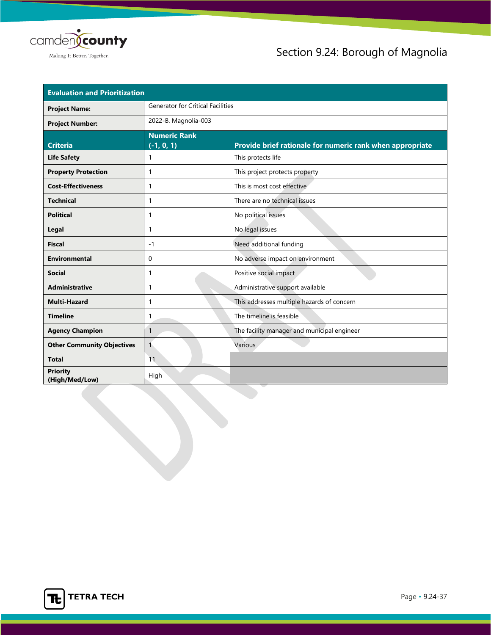

| <b>Evaluation and Prioritization</b> |                                     |                                                           |  |
|--------------------------------------|-------------------------------------|-----------------------------------------------------------|--|
| <b>Project Name:</b>                 | Generator for Critical Facilities   |                                                           |  |
| <b>Project Number:</b>               | 2022-B. Magnolia-003                |                                                           |  |
| <b>Criteria</b>                      | <b>Numeric Rank</b><br>$(-1, 0, 1)$ | Provide brief rationale for numeric rank when appropriate |  |
| <b>Life Safety</b>                   | 1                                   | This protects life                                        |  |
| <b>Property Protection</b>           | 1                                   | This project protects property                            |  |
| <b>Cost-Effectiveness</b>            | 1                                   | This is most cost effective                               |  |
| <b>Technical</b>                     | 1                                   | There are no technical issues                             |  |
| <b>Political</b>                     | $\mathbf{1}$                        | No political issues                                       |  |
| Legal                                | 1                                   | No legal issues                                           |  |
| <b>Fiscal</b>                        | $-1$                                | Need additional funding                                   |  |
| <b>Environmental</b>                 | 0                                   | No adverse impact on environment                          |  |
| <b>Social</b>                        | -1                                  | Positive social impact                                    |  |
| <b>Administrative</b>                | 1                                   | Administrative support available                          |  |
| <b>Multi-Hazard</b>                  | 1                                   | This addresses multiple hazards of concern                |  |
| <b>Timeline</b>                      | $\mathbf{1}$                        | The timeline is feasible                                  |  |
| <b>Agency Champion</b>               | $\mathbf{1}$                        | The facility manager and municipal engineer               |  |
| <b>Other Community Objectives</b>    | $\mathbf{1}$                        | Various                                                   |  |
| <b>Total</b>                         | 11                                  |                                                           |  |
| <b>Priority</b><br>(High/Med/Low)    | High                                |                                                           |  |

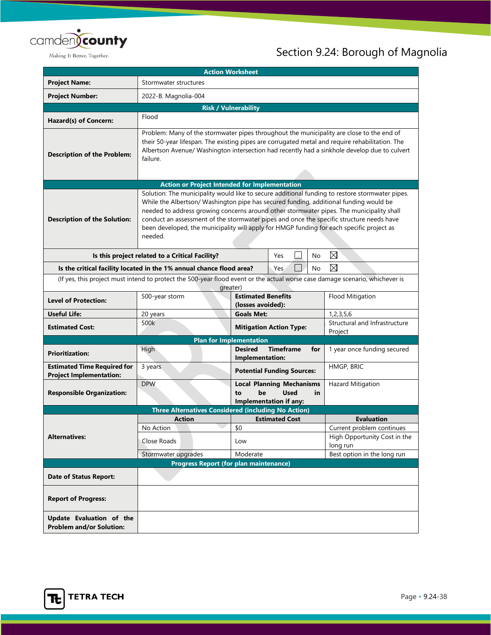

| <b>Action Worksheet</b>                                                                                                                  |                                                                                                                                                                                                                                                                                                                                                                                                                                                                                          |                                          |                                                                                 |                                                           |
|------------------------------------------------------------------------------------------------------------------------------------------|------------------------------------------------------------------------------------------------------------------------------------------------------------------------------------------------------------------------------------------------------------------------------------------------------------------------------------------------------------------------------------------------------------------------------------------------------------------------------------------|------------------------------------------|---------------------------------------------------------------------------------|-----------------------------------------------------------|
| <b>Project Name:</b>                                                                                                                     | Stormwater structures                                                                                                                                                                                                                                                                                                                                                                                                                                                                    |                                          |                                                                                 |                                                           |
| <b>Project Number:</b>                                                                                                                   | 2022-B. Magnolia-004                                                                                                                                                                                                                                                                                                                                                                                                                                                                     |                                          |                                                                                 |                                                           |
|                                                                                                                                          | <b>Risk / Vulnerability</b>                                                                                                                                                                                                                                                                                                                                                                                                                                                              |                                          |                                                                                 |                                                           |
| Hazard(s) of Concern:                                                                                                                    | Flood                                                                                                                                                                                                                                                                                                                                                                                                                                                                                    |                                          |                                                                                 |                                                           |
| <b>Description of the Problem:</b>                                                                                                       | Problem: Many of the stormwater pipes throughout the municipality are close to the end of<br>their 50-year lifespan. The existing pipes are corrugated metal and require rehabilitation. The<br>Albertson Avenue/ Washington intersection had recently had a sinkhole develop due to culvert<br>failure.                                                                                                                                                                                 |                                          |                                                                                 |                                                           |
|                                                                                                                                          | <b>Action or Project Intended for Implementation</b>                                                                                                                                                                                                                                                                                                                                                                                                                                     |                                          |                                                                                 |                                                           |
| <b>Description of the Solution:</b>                                                                                                      | Solution: The municipality would like to secure additional funding to restore stormwater pipes.<br>While the Albertson/ Washington pipe has secured funding, additional funding would be<br>needed to address growing concerns around other stormwater pipes. The municipality shall<br>conduct an assessment of the stormwater pipes and once the specific structure needs have<br>been developed, the municipality will apply for HMGP funding for each specific project as<br>needed. |                                          |                                                                                 |                                                           |
|                                                                                                                                          | Is this project related to a Critical Facility?                                                                                                                                                                                                                                                                                                                                                                                                                                          |                                          | Yes<br>No                                                                       | $\boxtimes$                                               |
| ⊠<br>No<br>Is the critical facility located in the 1% annual chance flood area?<br>Yes.                                                  |                                                                                                                                                                                                                                                                                                                                                                                                                                                                                          |                                          |                                                                                 |                                                           |
| (If yes, this project must intend to protect the 500-year flood event or the actual worse case damage scenario, whichever is<br>greater) |                                                                                                                                                                                                                                                                                                                                                                                                                                                                                          |                                          |                                                                                 |                                                           |
| <b>Level of Protection:</b>                                                                                                              | <b>Estimated Benefits</b><br>500-year storm<br>Flood Mitigation<br>(losses avoided):                                                                                                                                                                                                                                                                                                                                                                                                     |                                          |                                                                                 |                                                           |
| <b>Useful Life:</b>                                                                                                                      | 20 years                                                                                                                                                                                                                                                                                                                                                                                                                                                                                 | 1, 2, 3, 5, 6<br><b>Goals Met:</b>       |                                                                                 |                                                           |
| <b>Estimated Cost:</b>                                                                                                                   | 500k                                                                                                                                                                                                                                                                                                                                                                                                                                                                                     |                                          | <b>Mitigation Action Type:</b>                                                  | Structural and Infrastructure<br>Project                  |
|                                                                                                                                          | <b>Plan for Implementation</b>                                                                                                                                                                                                                                                                                                                                                                                                                                                           |                                          |                                                                                 |                                                           |
| <b>Prioritization:</b>                                                                                                                   | High                                                                                                                                                                                                                                                                                                                                                                                                                                                                                     | <b>Desired</b><br><b>Implementation:</b> | <b>Timeframe</b><br>for                                                         | 1 year once funding secured                               |
| <b>Estimated Time Required for</b><br><b>Project Implementation:</b>                                                                     | 3 years                                                                                                                                                                                                                                                                                                                                                                                                                                                                                  |                                          | <b>Potential Funding Sources:</b>                                               | HMGP, BRIC                                                |
| <b>Responsible Organization:</b>                                                                                                         | <b>DPW</b>                                                                                                                                                                                                                                                                                                                                                                                                                                                                               | be<br>to                                 | <b>Local Planning Mechanisms</b><br><b>Used</b><br>in<br>Implementation if any: | <b>Hazard Mitigation</b>                                  |
| <b>Three Alternatives Considered (including No Action)</b>                                                                               |                                                                                                                                                                                                                                                                                                                                                                                                                                                                                          |                                          |                                                                                 |                                                           |
|                                                                                                                                          | <b>Action</b>                                                                                                                                                                                                                                                                                                                                                                                                                                                                            |                                          | <b>Estimated Cost</b>                                                           | <b>Evaluation</b>                                         |
| <b>Alternatives:</b>                                                                                                                     | No Action                                                                                                                                                                                                                                                                                                                                                                                                                                                                                | \$0                                      |                                                                                 | Current problem continues<br>High Opportunity Cost in the |
|                                                                                                                                          | Close Roads<br>Stormwater upgrades                                                                                                                                                                                                                                                                                                                                                                                                                                                       | Low<br>Moderate                          |                                                                                 | long run<br>Best option in the long run                   |
|                                                                                                                                          | <b>Progress Report (for plan maintenance)</b>                                                                                                                                                                                                                                                                                                                                                                                                                                            |                                          |                                                                                 |                                                           |
| <b>Date of Status Report:</b>                                                                                                            |                                                                                                                                                                                                                                                                                                                                                                                                                                                                                          |                                          |                                                                                 |                                                           |
| <b>Report of Progress:</b>                                                                                                               |                                                                                                                                                                                                                                                                                                                                                                                                                                                                                          |                                          |                                                                                 |                                                           |
| Update Evaluation of the<br><b>Problem and/or Solution:</b>                                                                              |                                                                                                                                                                                                                                                                                                                                                                                                                                                                                          |                                          |                                                                                 |                                                           |